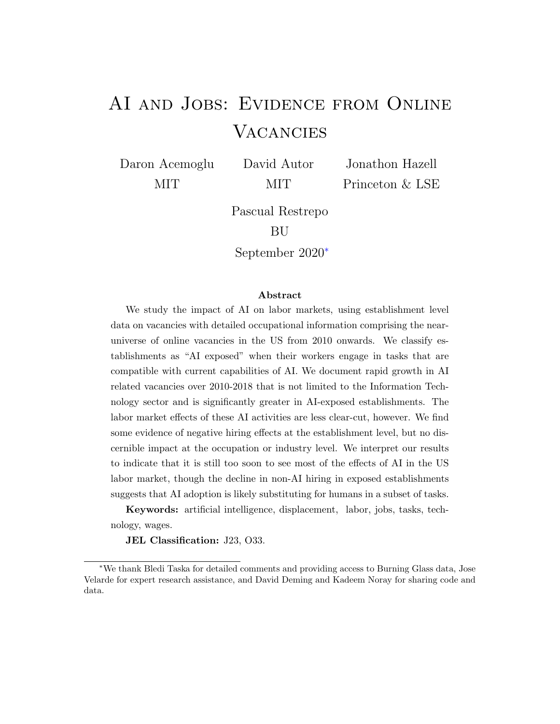# AI and Jobs: Evidence from Online **VACANCIES**

Daron Acemoglu MIT

David Autor MIT

Jonathon Hazell Princeton & LSE

Pascual Restrepo BU

September 2020<sup>∗</sup>

#### Abstract

We study the impact of AI on labor markets, using establishment level data on vacancies with detailed occupational information comprising the nearuniverse of online vacancies in the US from 2010 onwards. We classify establishments as "AI exposed" when their workers engage in tasks that are compatible with current capabilities of AI. We document rapid growth in AI related vacancies over 2010-2018 that is not limited to the Information Technology sector and is significantly greater in AI-exposed establishments. The labor market effects of these AI activities are less clear-cut, however. We find some evidence of negative hiring effects at the establishment level, but no discernible impact at the occupation or industry level. We interpret our results to indicate that it is still too soon to see most of the effects of AI in the US labor market, though the decline in non-AI hiring in exposed establishments suggests that AI adoption is likely substituting for humans in a subset of tasks.

Keywords: artificial intelligence, displacement, labor, jobs, tasks, technology, wages.

JEL Classification: J23, O33.

<sup>∗</sup>We thank Bledi Taska for detailed comments and providing access to Burning Glass data, Jose Velarde for expert research assistance, and David Deming and Kadeem Noray for sharing code and data.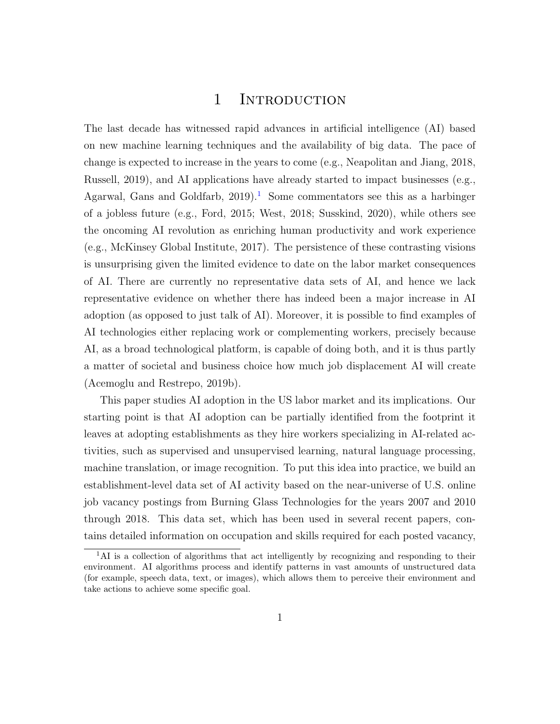## 1 INTRODUCTION

The last decade has witnessed rapid advances in artificial intelligence (AI) based on new machine learning techniques and the availability of big data. The pace of change is expected to increase in the years to come (e.g., Neapolitan and Jiang, 2018, Russell, 2019), and AI applications have already started to impact businesses (e.g., Agarwal, Gans and Goldfarb,  $2019$  $2019$  $2019$ .<sup>1</sup> Some commentators see this as a harbinger of a jobless future (e.g., Ford, 2015; West, 2018; Susskind, 2020), while others see the oncoming AI revolution as enriching human productivity and work experience (e.g., McKinsey Global Institute, 2017). The persistence of these contrasting visions is unsurprising given the limited evidence to date on the labor market consequences of AI. There are currently no representative data sets of AI, and hence we lack representative evidence on whether there has indeed been a major increase in AI adoption (as opposed to just talk of AI). Moreover, it is possible to find examples of AI technologies either replacing work or complementing workers, precisely because AI, as a broad technological platform, is capable of doing both, and it is thus partly a matter of societal and business choice how much job displacement AI will create (Acemoglu and Restrepo, 2019b).

This paper studies AI adoption in the US labor market and its implications. Our starting point is that AI adoption can be partially identified from the footprint it leaves at adopting establishments as they hire workers specializing in AI-related activities, such as supervised and unsupervised learning, natural language processing, machine translation, or image recognition. To put this idea into practice, we build an establishment-level data set of AI activity based on the near-universe of U.S. online job vacancy postings from Burning Glass Technologies for the years 2007 and 2010 through 2018. This data set, which has been used in several recent papers, contains detailed information on occupation and skills required for each posted vacancy,

<span id="page-1-0"></span> ${}^{1}$ AI is a collection of algorithms that act intelligently by recognizing and responding to their environment. AI algorithms process and identify patterns in vast amounts of unstructured data (for example, speech data, text, or images), which allows them to perceive their environment and take actions to achieve some specific goal.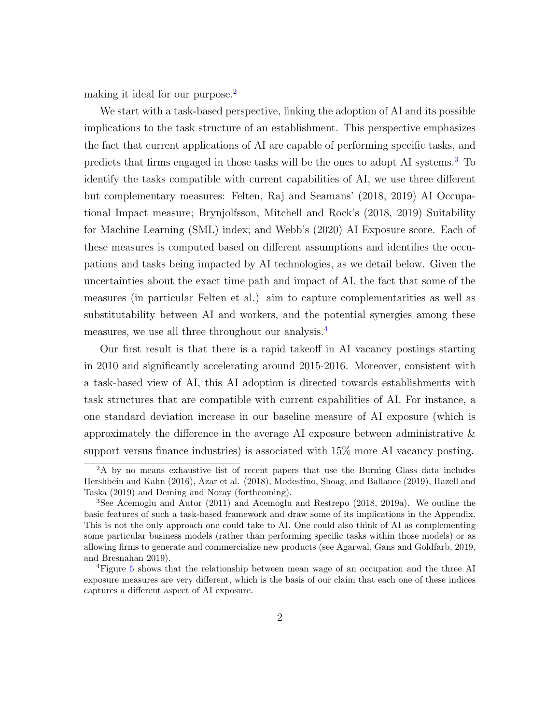making it ideal for our purpose.<sup>[2](#page-2-0)</sup>

We start with a task-based perspective, linking the adoption of AI and its possible implications to the task structure of an establishment. This perspective emphasizes the fact that current applications of AI are capable of performing specific tasks, and predicts that firms engaged in those tasks will be the ones to adopt AI systems.[3](#page-2-1) To identify the tasks compatible with current capabilities of AI, we use three different but complementary measures: Felten, Raj and Seamans' (2018, 2019) AI Occupational Impact measure; Brynjolfsson, Mitchell and Rock's (2018, 2019) Suitability for Machine Learning (SML) index; and Webb's (2020) AI Exposure score. Each of these measures is computed based on different assumptions and identifies the occupations and tasks being impacted by AI technologies, as we detail below. Given the uncertainties about the exact time path and impact of AI, the fact that some of the measures (in particular Felten et al.) aim to capture complementarities as well as substitutability between AI and workers, and the potential synergies among these measures, we use all three throughout our analysis.[4](#page-2-2)

Our first result is that there is a rapid takeoff in AI vacancy postings starting in 2010 and significantly accelerating around 2015-2016. Moreover, consistent with a task-based view of AI, this AI adoption is directed towards establishments with task structures that are compatible with current capabilities of AI. For instance, a one standard deviation increase in our baseline measure of AI exposure (which is approximately the difference in the average AI exposure between administrative & support versus finance industries) is associated with 15% more AI vacancy posting.

<span id="page-2-0"></span><sup>&</sup>lt;sup>2</sup>A by no means exhaustive list of recent papers that use the Burning Glass data includes Hershbein and Kahn (2016), Azar et al. (2018), Modestino, Shoag, and Ballance (2019), Hazell and Taska (2019) and Deming and Noray (forthcoming).

<span id="page-2-1"></span><sup>3</sup>See Acemoglu and Autor (2011) and Acemoglu and Restrepo (2018, 2019a). We outline the basic features of such a task-based framework and draw some of its implications in the Appendix. This is not the only approach one could take to AI. One could also think of AI as complementing some particular business models (rather than performing specific tasks within those models) or as allowing firms to generate and commercialize new products (see Agarwal, Gans and Goldfarb, 2019, and Bresnahan 2019).

<span id="page-2-2"></span><sup>4</sup>Figure [5](#page-30-0) shows that the relationship between mean wage of an occupation and the three AI exposure measures are very different, which is the basis of our claim that each one of these indices captures a different aspect of AI exposure.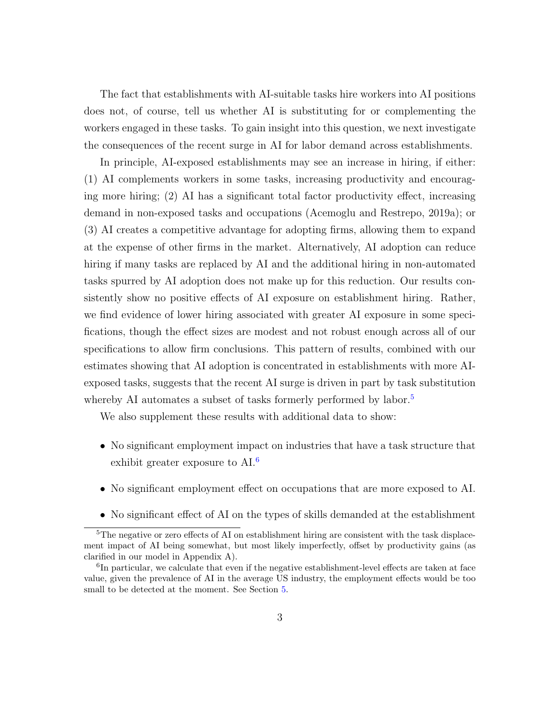The fact that establishments with AI-suitable tasks hire workers into AI positions does not, of course, tell us whether AI is substituting for or complementing the workers engaged in these tasks. To gain insight into this question, we next investigate the consequences of the recent surge in AI for labor demand across establishments.

In principle, AI-exposed establishments may see an increase in hiring, if either: (1) AI complements workers in some tasks, increasing productivity and encouraging more hiring; (2) AI has a significant total factor productivity effect, increasing demand in non-exposed tasks and occupations (Acemoglu and Restrepo, 2019a); or (3) AI creates a competitive advantage for adopting firms, allowing them to expand at the expense of other firms in the market. Alternatively, AI adoption can reduce hiring if many tasks are replaced by AI and the additional hiring in non-automated tasks spurred by AI adoption does not make up for this reduction. Our results consistently show no positive effects of AI exposure on establishment hiring. Rather, we find evidence of lower hiring associated with greater AI exposure in some specifications, though the effect sizes are modest and not robust enough across all of our specifications to allow firm conclusions. This pattern of results, combined with our estimates showing that AI adoption is concentrated in establishments with more AIexposed tasks, suggests that the recent AI surge is driven in part by task substitution whereby AI automates a subset of tasks formerly performed by labor.<sup>[5](#page-3-0)</sup>

We also supplement these results with additional data to show:

- No significant employment impact on industries that have a task structure that exhibit greater exposure to AI.<sup>[6](#page-3-1)</sup>
- No significant employment effect on occupations that are more exposed to AI.
- <span id="page-3-0"></span>• No significant effect of AI on the types of skills demanded at the establishment

<sup>&</sup>lt;sup>5</sup>The negative or zero effects of AI on establishment hiring are consistent with the task displacement impact of AI being somewhat, but most likely imperfectly, offset by productivity gains (as clarified in our model in Appendix A).

<span id="page-3-1"></span><sup>&</sup>lt;sup>6</sup>In particular, we calculate that even if the negative establishment-level effects are taken at face value, given the prevalence of AI in the average US industry, the employment effects would be too small to be detected at the moment. See Section [5.](#page-14-0)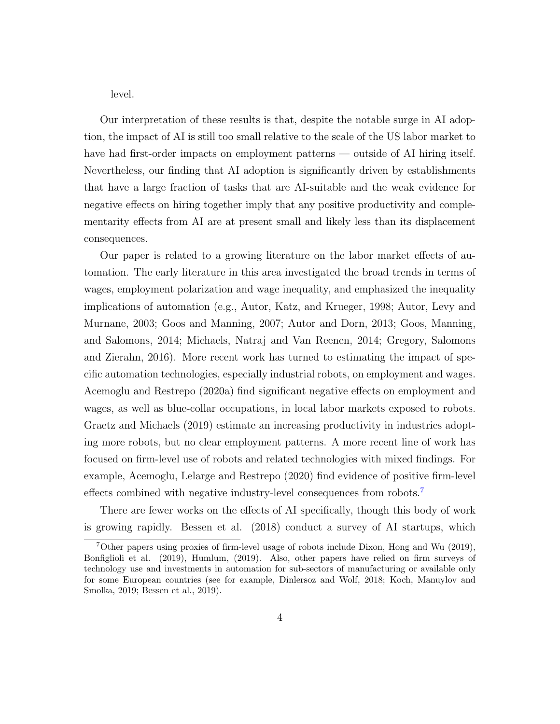level.

Our interpretation of these results is that, despite the notable surge in AI adoption, the impact of AI is still too small relative to the scale of the US labor market to have had first-order impacts on employment patterns — outside of AI hiring itself. Nevertheless, our finding that AI adoption is significantly driven by establishments that have a large fraction of tasks that are AI-suitable and the weak evidence for negative effects on hiring together imply that any positive productivity and complementarity effects from AI are at present small and likely less than its displacement consequences.

Our paper is related to a growing literature on the labor market effects of automation. The early literature in this area investigated the broad trends in terms of wages, employment polarization and wage inequality, and emphasized the inequality implications of automation (e.g., Autor, Katz, and Krueger, 1998; Autor, Levy and Murnane, 2003; Goos and Manning, 2007; Autor and Dorn, 2013; Goos, Manning, and Salomons, 2014; Michaels, Natraj and Van Reenen, 2014; Gregory, Salomons and Zierahn, 2016). More recent work has turned to estimating the impact of specific automation technologies, especially industrial robots, on employment and wages. Acemoglu and Restrepo (2020a) find significant negative effects on employment and wages, as well as blue-collar occupations, in local labor markets exposed to robots. Graetz and Michaels (2019) estimate an increasing productivity in industries adopting more robots, but no clear employment patterns. A more recent line of work has focused on firm-level use of robots and related technologies with mixed findings. For example, Acemoglu, Lelarge and Restrepo (2020) find evidence of positive firm-level effects combined with negative industry-level consequences from robots.<sup>[7](#page-4-0)</sup>

There are fewer works on the effects of AI specifically, though this body of work is growing rapidly. Bessen et al. (2018) conduct a survey of AI startups, which

<span id="page-4-0"></span><sup>7</sup>Other papers using proxies of firm-level usage of robots include Dixon, Hong and Wu (2019), Bonfiglioli et al. (2019), Humlum, (2019). Also, other papers have relied on firm surveys of technology use and investments in automation for sub-sectors of manufacturing or available only for some European countries (see for example, Dinlersoz and Wolf, 2018; Koch, Manuylov and Smolka, 2019; Bessen et al., 2019).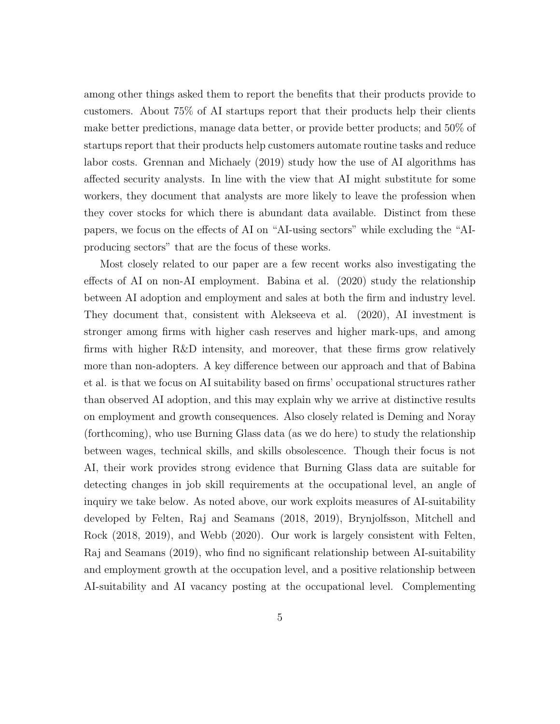among other things asked them to report the benefits that their products provide to customers. About 75% of AI startups report that their products help their clients make better predictions, manage data better, or provide better products; and 50% of startups report that their products help customers automate routine tasks and reduce labor costs. Grennan and Michaely (2019) study how the use of AI algorithms has affected security analysts. In line with the view that AI might substitute for some workers, they document that analysts are more likely to leave the profession when they cover stocks for which there is abundant data available. Distinct from these papers, we focus on the effects of AI on "AI-using sectors" while excluding the "AIproducing sectors" that are the focus of these works.

Most closely related to our paper are a few recent works also investigating the effects of AI on non-AI employment. Babina et al. (2020) study the relationship between AI adoption and employment and sales at both the firm and industry level. They document that, consistent with Alekseeva et al. (2020), AI investment is stronger among firms with higher cash reserves and higher mark-ups, and among firms with higher R&D intensity, and moreover, that these firms grow relatively more than non-adopters. A key difference between our approach and that of Babina et al. is that we focus on AI suitability based on firms' occupational structures rather than observed AI adoption, and this may explain why we arrive at distinctive results on employment and growth consequences. Also closely related is Deming and Noray (forthcoming), who use Burning Glass data (as we do here) to study the relationship between wages, technical skills, and skills obsolescence. Though their focus is not AI, their work provides strong evidence that Burning Glass data are suitable for detecting changes in job skill requirements at the occupational level, an angle of inquiry we take below. As noted above, our work exploits measures of AI-suitability developed by Felten, Raj and Seamans (2018, 2019), Brynjolfsson, Mitchell and Rock (2018, 2019), and Webb (2020). Our work is largely consistent with Felten, Raj and Seamans (2019), who find no significant relationship between AI-suitability and employment growth at the occupation level, and a positive relationship between AI-suitability and AI vacancy posting at the occupational level. Complementing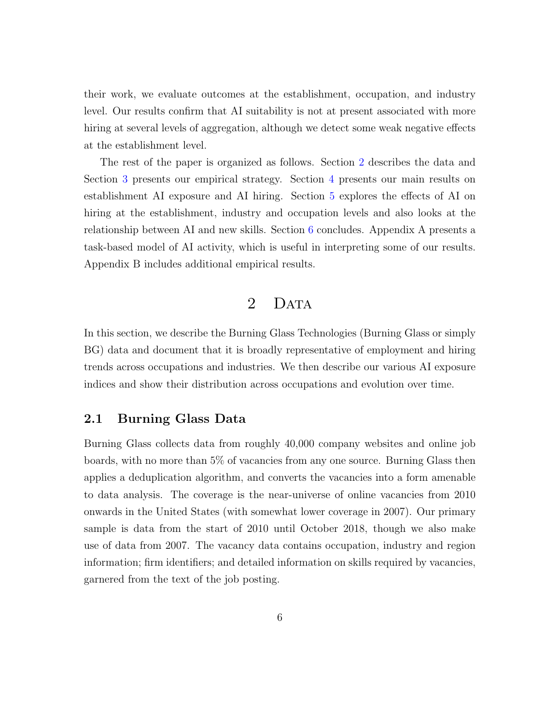their work, we evaluate outcomes at the establishment, occupation, and industry level. Our results confirm that AI suitability is not at present associated with more hiring at several levels of aggregation, although we detect some weak negative effects at the establishment level.

The rest of the paper is organized as follows. Section [2](#page-6-0) describes the data and Section [3](#page-10-0) presents our empirical strategy. Section [4](#page-11-0) presents our main results on establishment AI exposure and AI hiring. Section [5](#page-14-0) explores the effects of AI on hiring at the establishment, industry and occupation levels and also looks at the relationship between AI and new skills. Section [6](#page-20-0) concludes. Appendix A presents a task-based model of AI activity, which is useful in interpreting some of our results. Appendix B includes additional empirical results.

## 2 DATA

<span id="page-6-0"></span>In this section, we describe the Burning Glass Technologies (Burning Glass or simply BG) data and document that it is broadly representative of employment and hiring trends across occupations and industries. We then describe our various AI exposure indices and show their distribution across occupations and evolution over time.

#### 2.1 Burning Glass Data

Burning Glass collects data from roughly 40,000 company websites and online job boards, with no more than 5% of vacancies from any one source. Burning Glass then applies a deduplication algorithm, and converts the vacancies into a form amenable to data analysis. The coverage is the near-universe of online vacancies from 2010 onwards in the United States (with somewhat lower coverage in 2007). Our primary sample is data from the start of 2010 until October 2018, though we also make use of data from 2007. The vacancy data contains occupation, industry and region information; firm identifiers; and detailed information on skills required by vacancies, garnered from the text of the job posting.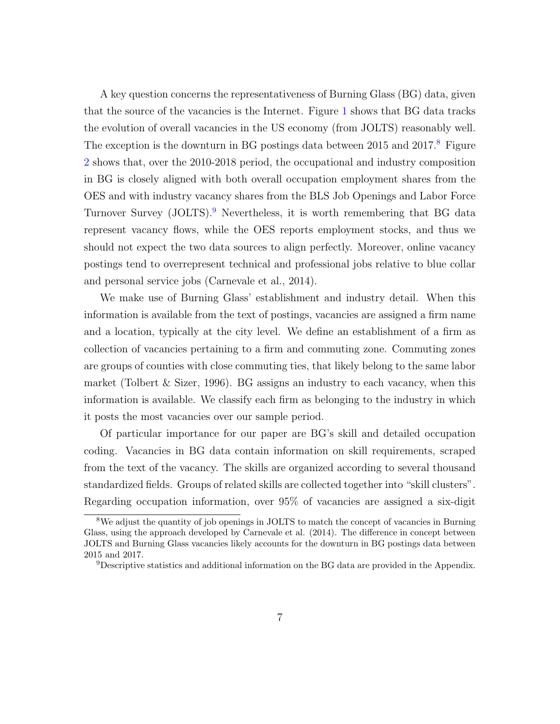A key question concerns the representativeness of Burning Glass (BG) data, given that the source of the vacancies is the Internet. Figure [1](#page-26-0) shows that BG data tracks the evolution of overall vacancies in the US economy (from JOLTS) reasonably well. The exception is the downturn in BG postings data between 2015 and  $2017<sup>8</sup>$  $2017<sup>8</sup>$  $2017<sup>8</sup>$  Figure [2](#page-27-0) shows that, over the 2010-2018 period, the occupational and industry composition in BG is closely aligned with both overall occupation employment shares from the OES and with industry vacancy shares from the BLS Job Openings and Labor Force Turnover Survey (JOLTS).[9](#page-7-1) Nevertheless, it is worth remembering that BG data represent vacancy flows, while the OES reports employment stocks, and thus we should not expect the two data sources to align perfectly. Moreover, online vacancy postings tend to overrepresent technical and professional jobs relative to blue collar and personal service jobs (Carnevale et al., 2014).

We make use of Burning Glass' establishment and industry detail. When this information is available from the text of postings, vacancies are assigned a firm name and a location, typically at the city level. We define an establishment of a firm as collection of vacancies pertaining to a firm and commuting zone. Commuting zones are groups of counties with close commuting ties, that likely belong to the same labor market (Tolbert & Sizer, 1996). BG assigns an industry to each vacancy, when this information is available. We classify each firm as belonging to the industry in which it posts the most vacancies over our sample period.

Of particular importance for our paper are BG's skill and detailed occupation coding. Vacancies in BG data contain information on skill requirements, scraped from the text of the vacancy. The skills are organized according to several thousand standardized fields. Groups of related skills are collected together into "skill clusters". Regarding occupation information, over 95% of vacancies are assigned a six-digit

<span id="page-7-0"></span><sup>&</sup>lt;sup>8</sup>We adjust the quantity of job openings in JOLTS to match the concept of vacancies in Burning Glass, using the approach developed by Carnevale et al. (2014). The difference in concept between JOLTS and Burning Glass vacancies likely accounts for the downturn in BG postings data between 2015 and 2017.

<span id="page-7-1"></span><sup>&</sup>lt;sup>9</sup>Descriptive statistics and additional information on the BG data are provided in the Appendix.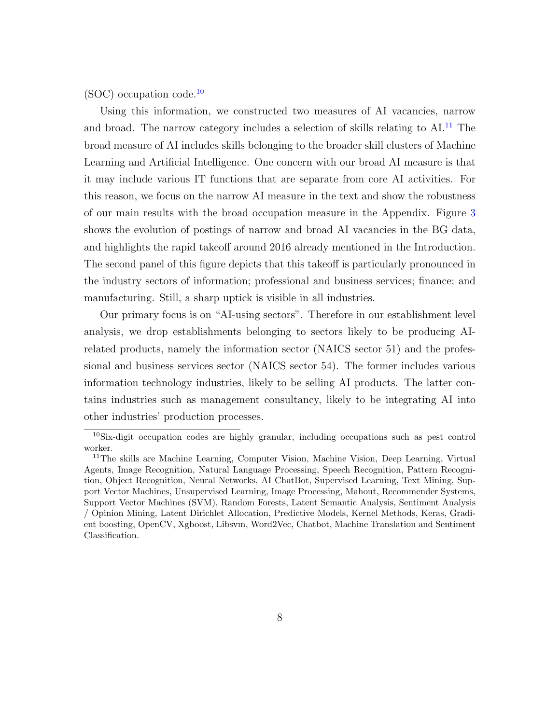(SOC) occupation code.[10](#page-8-0)

Using this information, we constructed two measures of AI vacancies, narrow and broad. The narrow category includes a selection of skills relating to AI.<sup>[11](#page-8-1)</sup> The broad measure of AI includes skills belonging to the broader skill clusters of Machine Learning and Artificial Intelligence. One concern with our broad AI measure is that it may include various IT functions that are separate from core AI activities. For this reason, we focus on the narrow AI measure in the text and show the robustness of our main results with the broad occupation measure in the Appendix. Figure [3](#page-28-0) shows the evolution of postings of narrow and broad AI vacancies in the BG data, and highlights the rapid takeoff around 2016 already mentioned in the Introduction. The second panel of this figure depicts that this takeoff is particularly pronounced in the industry sectors of information; professional and business services; finance; and manufacturing. Still, a sharp uptick is visible in all industries.

Our primary focus is on "AI-using sectors". Therefore in our establishment level analysis, we drop establishments belonging to sectors likely to be producing AIrelated products, namely the information sector (NAICS sector 51) and the professional and business services sector (NAICS sector 54). The former includes various information technology industries, likely to be selling AI products. The latter contains industries such as management consultancy, likely to be integrating AI into other industries' production processes.

<span id="page-8-0"></span><sup>10</sup>Six-digit occupation codes are highly granular, including occupations such as pest control worker.

<span id="page-8-1"></span><sup>&</sup>lt;sup>11</sup>The skills are Machine Learning, Computer Vision, Machine Vision, Deep Learning, Virtual Agents, Image Recognition, Natural Language Processing, Speech Recognition, Pattern Recognition, Object Recognition, Neural Networks, AI ChatBot, Supervised Learning, Text Mining, Support Vector Machines, Unsupervised Learning, Image Processing, Mahout, Recommender Systems, Support Vector Machines (SVM), Random Forests, Latent Semantic Analysis, Sentiment Analysis / Opinion Mining, Latent Dirichlet Allocation, Predictive Models, Kernel Methods, Keras, Gradient boosting, OpenCV, Xgboost, Libsvm, Word2Vec, Chatbot, Machine Translation and Sentiment Classification.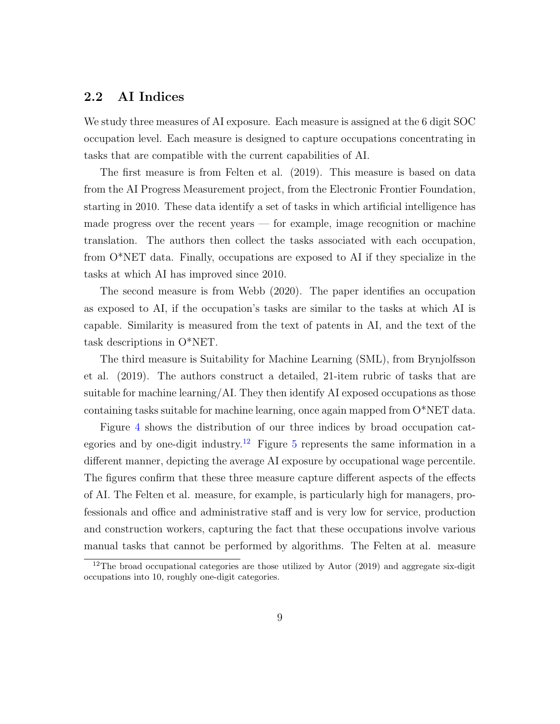## 2.2 AI Indices

We study three measures of AI exposure. Each measure is assigned at the 6 digit SOC occupation level. Each measure is designed to capture occupations concentrating in tasks that are compatible with the current capabilities of AI.

The first measure is from Felten et al. (2019). This measure is based on data from the AI Progress Measurement project, from the Electronic Frontier Foundation, starting in 2010. These data identify a set of tasks in which artificial intelligence has made progress over the recent years — for example, image recognition or machine translation. The authors then collect the tasks associated with each occupation, from O\*NET data. Finally, occupations are exposed to AI if they specialize in the tasks at which AI has improved since 2010.

The second measure is from Webb (2020). The paper identifies an occupation as exposed to AI, if the occupation's tasks are similar to the tasks at which AI is capable. Similarity is measured from the text of patents in AI, and the text of the task descriptions in O\*NET.

The third measure is Suitability for Machine Learning (SML), from Brynjolfsson et al. (2019). The authors construct a detailed, 21-item rubric of tasks that are suitable for machine learning/AI. They then identify AI exposed occupations as those containing tasks suitable for machine learning, once again mapped from O\*NET data.

Figure [4](#page-29-0) shows the distribution of our three indices by broad occupation cat-egories and by one-digit industry.<sup>[12](#page-9-0)</sup> Figure [5](#page-30-0) represents the same information in a different manner, depicting the average AI exposure by occupational wage percentile. The figures confirm that these three measure capture different aspects of the effects of AI. The Felten et al. measure, for example, is particularly high for managers, professionals and office and administrative staff and is very low for service, production and construction workers, capturing the fact that these occupations involve various manual tasks that cannot be performed by algorithms. The Felten at al. measure

<span id="page-9-0"></span> $12$ The broad occupational categories are those utilized by Autor (2019) and aggregate six-digit occupations into 10, roughly one-digit categories.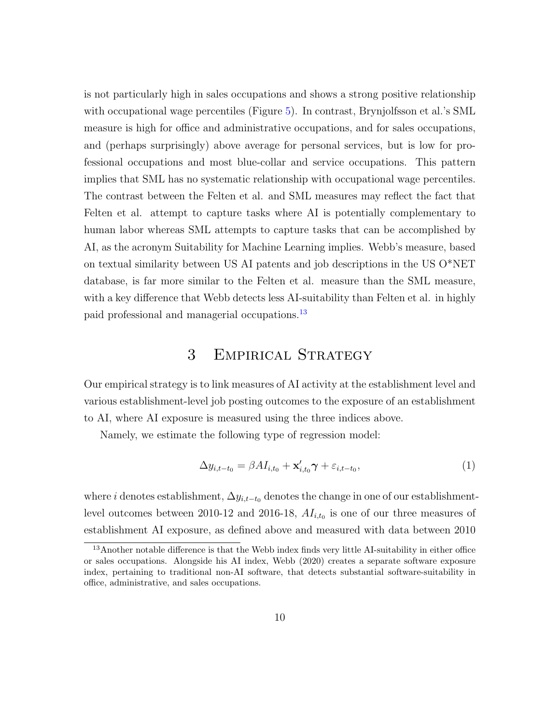is not particularly high in sales occupations and shows a strong positive relationship with occupational wage percentiles (Figure [5\)](#page-30-0). In contrast, Brynjolfsson et al.'s SML measure is high for office and administrative occupations, and for sales occupations, and (perhaps surprisingly) above average for personal services, but is low for professional occupations and most blue-collar and service occupations. This pattern implies that SML has no systematic relationship with occupational wage percentiles. The contrast between the Felten et al. and SML measures may reflect the fact that Felten et al. attempt to capture tasks where AI is potentially complementary to human labor whereas SML attempts to capture tasks that can be accomplished by AI, as the acronym Suitability for Machine Learning implies. Webb's measure, based on textual similarity between US AI patents and job descriptions in the US O\*NET database, is far more similar to the Felten et al. measure than the SML measure, with a key difference that Webb detects less AI-suitability than Felten et al. in highly paid professional and managerial occupations.[13](#page-10-1)

## 3 Empirical Strategy

<span id="page-10-0"></span>Our empirical strategy is to link measures of AI activity at the establishment level and various establishment-level job posting outcomes to the exposure of an establishment to AI, where AI exposure is measured using the three indices above.

Namely, we estimate the following type of regression model:

<span id="page-10-2"></span>
$$
\Delta y_{i,t-t_0} = \beta A I_{i,t_0} + \mathbf{x}'_{i,t_0} \gamma + \varepsilon_{i,t-t_0},\tag{1}
$$

where i denotes establishment,  $\Delta y_{i,t-t_0}$  denotes the change in one of our establishmentlevel outcomes between 2010-12 and 2016-18,  $AI_{i,t_0}$  is one of our three measures of establishment AI exposure, as defined above and measured with data between 2010

<span id="page-10-1"></span><sup>&</sup>lt;sup>13</sup>Another notable difference is that the Webb index finds very little AI-suitability in either office or sales occupations. Alongside his AI index, Webb (2020) creates a separate software exposure index, pertaining to traditional non-AI software, that detects substantial software-suitability in office, administrative, and sales occupations.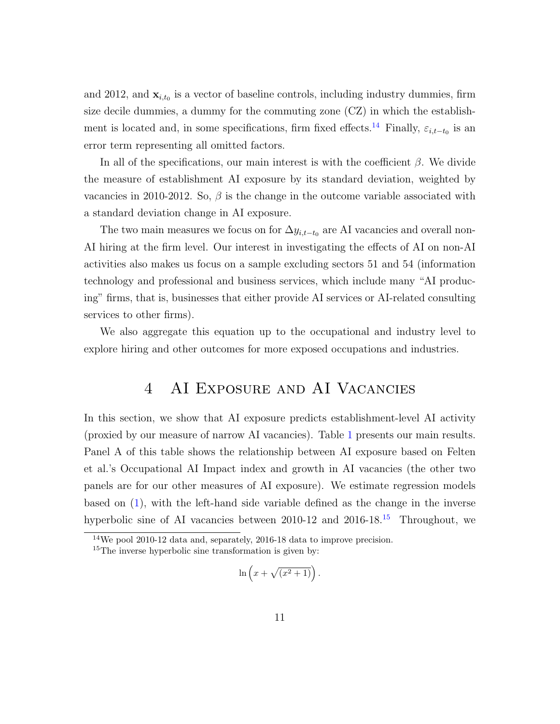and 2012, and  $\mathbf{x}_{i,t_0}$  is a vector of baseline controls, including industry dummies, firm size decile dummies, a dummy for the commuting zone (CZ) in which the establish-ment is located and, in some specifications, firm fixed effects.<sup>[14](#page-11-1)</sup> Finally,  $\varepsilon_{i,t-t_0}$  is an error term representing all omitted factors.

In all of the specifications, our main interest is with the coefficient  $\beta$ . We divide the measure of establishment AI exposure by its standard deviation, weighted by vacancies in 2010-2012. So,  $\beta$  is the change in the outcome variable associated with a standard deviation change in AI exposure.

The two main measures we focus on for  $\Delta y_{i,t-t_0}$  are AI vacancies and overall non-AI hiring at the firm level. Our interest in investigating the effects of AI on non-AI activities also makes us focus on a sample excluding sectors 51 and 54 (information technology and professional and business services, which include many "AI producing" firms, that is, businesses that either provide AI services or AI-related consulting services to other firms).

<span id="page-11-0"></span>We also aggregate this equation up to the occupational and industry level to explore hiring and other outcomes for more exposed occupations and industries.

## 4 AI Exposure and AI Vacancies

In this section, we show that AI exposure predicts establishment-level AI activity (proxied by our measure of narrow AI vacancies). Table [1](#page-33-0) presents our main results. Panel A of this table shows the relationship between AI exposure based on Felten et al.'s Occupational AI Impact index and growth in AI vacancies (the other two panels are for our other measures of AI exposure). We estimate regression models based on [\(1\)](#page-10-2), with the left-hand side variable defined as the change in the inverse hyperbolic sine of AI vacancies between 2010-12 and 2016-18.<sup>[15](#page-11-2)</sup> Throughout, we

$$
\ln\left(x+\sqrt{(x^2+1)}\right).
$$

<span id="page-11-1"></span><sup>14</sup>We pool 2010-12 data and, separately, 2016-18 data to improve precision.

<span id="page-11-2"></span><sup>&</sup>lt;sup>15</sup>The inverse hyperbolic sine transformation is given by: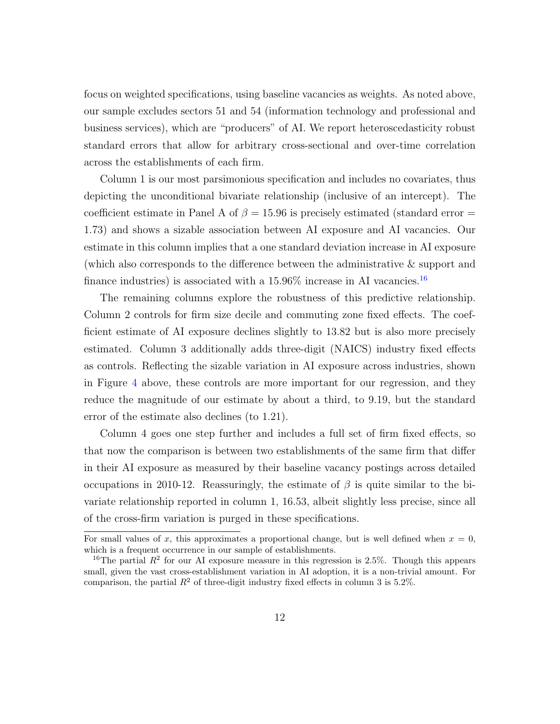focus on weighted specifications, using baseline vacancies as weights. As noted above, our sample excludes sectors 51 and 54 (information technology and professional and business services), which are "producers" of AI. We report heteroscedasticity robust standard errors that allow for arbitrary cross-sectional and over-time correlation across the establishments of each firm.

Column 1 is our most parsimonious specification and includes no covariates, thus depicting the unconditional bivariate relationship (inclusive of an intercept). The coefficient estimate in Panel A of  $\beta = 15.96$  is precisely estimated (standard error = 1.73) and shows a sizable association between AI exposure and AI vacancies. Our estimate in this column implies that a one standard deviation increase in AI exposure (which also corresponds to the difference between the administrative & support and finance industries) is associated with a  $15.96\%$  increase in AI vacancies.<sup>[16](#page-12-0)</sup>

The remaining columns explore the robustness of this predictive relationship. Column 2 controls for firm size decile and commuting zone fixed effects. The coefficient estimate of AI exposure declines slightly to 13.82 but is also more precisely estimated. Column 3 additionally adds three-digit (NAICS) industry fixed effects as controls. Reflecting the sizable variation in AI exposure across industries, shown in Figure [4](#page-29-0) above, these controls are more important for our regression, and they reduce the magnitude of our estimate by about a third, to 9.19, but the standard error of the estimate also declines (to 1.21).

Column 4 goes one step further and includes a full set of firm fixed effects, so that now the comparison is between two establishments of the same firm that differ in their AI exposure as measured by their baseline vacancy postings across detailed occupations in 2010-12. Reassuringly, the estimate of  $\beta$  is quite similar to the bivariate relationship reported in column 1, 16.53, albeit slightly less precise, since all of the cross-firm variation is purged in these specifications.

For small values of x, this approximates a proportional change, but is well defined when  $x = 0$ , which is a frequent occurrence in our sample of establishments.

<span id="page-12-0"></span><sup>&</sup>lt;sup>16</sup>The partial  $R^2$  for our AI exposure measure in this regression is 2.5%. Though this appears small, given the vast cross-establishment variation in AI adoption, it is a non-trivial amount. For comparison, the partial  $R^2$  of three-digit industry fixed effects in column 3 is 5.2%.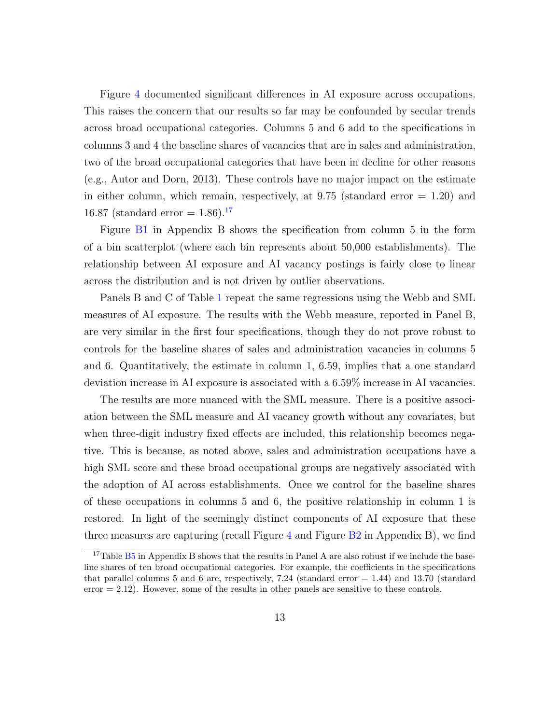Figure [4](#page-29-0) documented significant differences in AI exposure across occupations. This raises the concern that our results so far may be confounded by secular trends across broad occupational categories. Columns 5 and 6 add to the specifications in columns 3 and 4 the baseline shares of vacancies that are in sales and administration, two of the broad occupational categories that have been in decline for other reasons (e.g., Autor and Dorn, 2013). These controls have no major impact on the estimate in either column, which remain, respectively, at  $9.75$  (standard error  $= 1.20$ ) and 16.87 (standard error  $= 1.86$ ).<sup>[17](#page-13-0)</sup>

Figure [B1](#page-26-0) in Appendix B shows the specification from column 5 in the form of a bin scatterplot (where each bin represents about 50,000 establishments). The relationship between AI exposure and AI vacancy postings is fairly close to linear across the distribution and is not driven by outlier observations.

Panels B and C of Table [1](#page-33-0) repeat the same regressions using the Webb and SML measures of AI exposure. The results with the Webb measure, reported in Panel B, are very similar in the first four specifications, though they do not prove robust to controls for the baseline shares of sales and administration vacancies in columns 5 and 6. Quantitatively, the estimate in column 1, 6.59, implies that a one standard deviation increase in AI exposure is associated with a 6.59% increase in AI vacancies.

The results are more nuanced with the SML measure. There is a positive association between the SML measure and AI vacancy growth without any covariates, but when three-digit industry fixed effects are included, this relationship becomes negative. This is because, as noted above, sales and administration occupations have a high SML score and these broad occupational groups are negatively associated with the adoption of AI across establishments. Once we control for the baseline shares of these occupations in columns 5 and 6, the positive relationship in column 1 is restored. In light of the seemingly distinct components of AI exposure that these three measures are capturing (recall Figure  $4$  and Figure  $B2$  in Appendix B), we find

<span id="page-13-0"></span><sup>&</sup>lt;sup>17</sup>Table [B5](#page-48-0) in Appendix B shows that the results in Panel A are also robust if we include the baseline shares of ten broad occupational categories. For example, the coefficients in the specifications that parallel columns 5 and 6 are, respectively,  $7.24$  (standard error  $= 1.44$ ) and  $13.70$  (standard  $error = 2.12$ . However, some of the results in other panels are sensitive to these controls.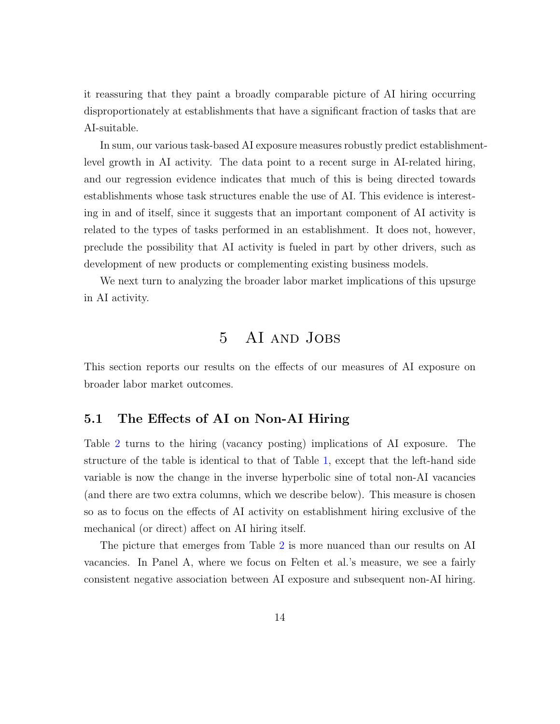it reassuring that they paint a broadly comparable picture of AI hiring occurring disproportionately at establishments that have a significant fraction of tasks that are AI-suitable.

In sum, our various task-based AI exposure measures robustly predict establishmentlevel growth in AI activity. The data point to a recent surge in AI-related hiring, and our regression evidence indicates that much of this is being directed towards establishments whose task structures enable the use of AI. This evidence is interesting in and of itself, since it suggests that an important component of AI activity is related to the types of tasks performed in an establishment. It does not, however, preclude the possibility that AI activity is fueled in part by other drivers, such as development of new products or complementing existing business models.

<span id="page-14-0"></span>We next turn to analyzing the broader labor market implications of this upsurge in AI activity.

## 5 AI and Jobs

This section reports our results on the effects of our measures of AI exposure on broader labor market outcomes.

## 5.1 The Effects of AI on Non-AI Hiring

Table [2](#page-34-0) turns to the hiring (vacancy posting) implications of AI exposure. The structure of the table is identical to that of Table [1,](#page-33-0) except that the left-hand side variable is now the change in the inverse hyperbolic sine of total non-AI vacancies (and there are two extra columns, which we describe below). This measure is chosen so as to focus on the effects of AI activity on establishment hiring exclusive of the mechanical (or direct) affect on AI hiring itself.

The picture that emerges from Table [2](#page-34-0) is more nuanced than our results on AI vacancies. In Panel A, where we focus on Felten et al.'s measure, we see a fairly consistent negative association between AI exposure and subsequent non-AI hiring.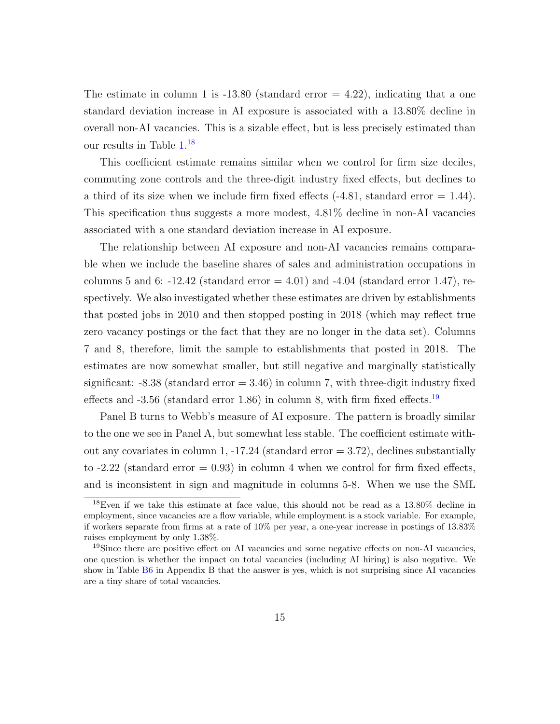The estimate in column 1 is  $-13.80$  (standard error  $= 4.22$ ), indicating that a one standard deviation increase in AI exposure is associated with a 13.80% decline in overall non-AI vacancies. This is a sizable effect, but is less precisely estimated than our results in Table [1.](#page-33-0) [18](#page-15-0)

This coefficient estimate remains similar when we control for firm size deciles, commuting zone controls and the three-digit industry fixed effects, but declines to a third of its size when we include firm fixed effects  $(-4.81,$  standard error  $= 1.44$ ). This specification thus suggests a more modest, 4.81% decline in non-AI vacancies associated with a one standard deviation increase in AI exposure.

The relationship between AI exposure and non-AI vacancies remains comparable when we include the baseline shares of sales and administration occupations in columns 5 and 6: -12.42 (standard error  $= 4.01$ ) and -4.04 (standard error 1.47), respectively. We also investigated whether these estimates are driven by establishments that posted jobs in 2010 and then stopped posting in 2018 (which may reflect true zero vacancy postings or the fact that they are no longer in the data set). Columns 7 and 8, therefore, limit the sample to establishments that posted in 2018. The estimates are now somewhat smaller, but still negative and marginally statistically significant:  $-8.38$  (standard error  $= 3.46$ ) in column 7, with three-digit industry fixed effects and  $-3.56$  (standard error 1.86) in column 8, with firm fixed effects.<sup>[19](#page-15-1)</sup>

Panel B turns to Webb's measure of AI exposure. The pattern is broadly similar to the one we see in Panel A, but somewhat less stable. The coefficient estimate without any covariates in column 1,  $-17.24$  (standard error  $= 3.72$ ), declines substantially to  $-2.22$  (standard error  $= 0.93$ ) in column 4 when we control for firm fixed effects, and is inconsistent in sign and magnitude in columns 5-8. When we use the SML

<span id="page-15-0"></span><sup>18</sup>Even if we take this estimate at face value, this should not be read as a 13.80% decline in employment, since vacancies are a flow variable, while employment is a stock variable. For example, if workers separate from firms at a rate of 10% per year, a one-year increase in postings of 13.83% raises employment by only 1.38%.

<span id="page-15-1"></span><sup>&</sup>lt;sup>19</sup>Since there are positive effect on AI vacancies and some negative effects on non-AI vacancies, one question is whether the impact on total vacancies (including AI hiring) is also negative. We show in Table [B6](#page-49-0) in Appendix B that the answer is yes, which is not surprising since AI vacancies are a tiny share of total vacancies.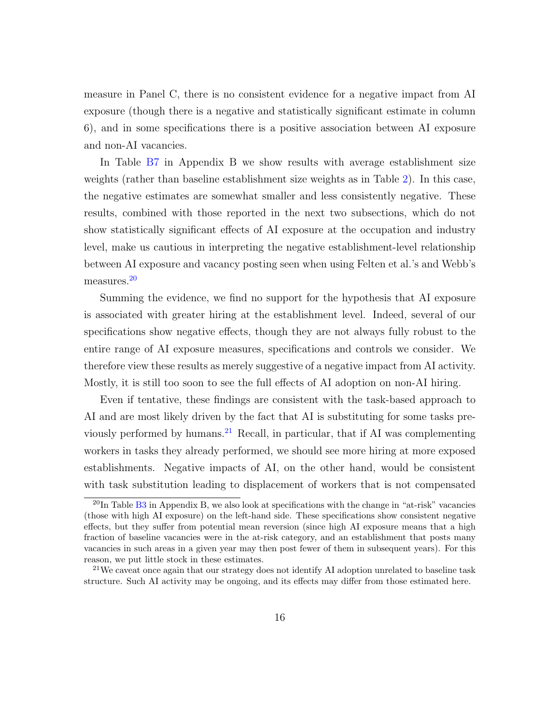measure in Panel C, there is no consistent evidence for a negative impact from AI exposure (though there is a negative and statistically significant estimate in column 6), and in some specifications there is a positive association between AI exposure and non-AI vacancies.

In Table [B7](#page-50-0) in Appendix B we show results with average establishment size weights (rather than baseline establishment size weights as in Table [2\)](#page-34-0). In this case, the negative estimates are somewhat smaller and less consistently negative. These results, combined with those reported in the next two subsections, which do not show statistically significant effects of AI exposure at the occupation and industry level, make us cautious in interpreting the negative establishment-level relationship between AI exposure and vacancy posting seen when using Felten et al.'s and Webb's measures.[20](#page-16-0)

Summing the evidence, we find no support for the hypothesis that AI exposure is associated with greater hiring at the establishment level. Indeed, several of our specifications show negative effects, though they are not always fully robust to the entire range of AI exposure measures, specifications and controls we consider. We therefore view these results as merely suggestive of a negative impact from AI activity. Mostly, it is still too soon to see the full effects of AI adoption on non-AI hiring.

Even if tentative, these findings are consistent with the task-based approach to AI and are most likely driven by the fact that AI is substituting for some tasks pre-viously performed by humans.<sup>[21](#page-16-1)</sup> Recall, in particular, that if AI was complementing workers in tasks they already performed, we should see more hiring at more exposed establishments. Negative impacts of AI, on the other hand, would be consistent with task substitution leading to displacement of workers that is not compensated

<span id="page-16-0"></span> $^{20}$ In Table [B3](#page-35-0) in Appendix B, we also look at specifications with the change in "at-risk" vacancies (those with high AI exposure) on the left-hand side. These specifications show consistent negative effects, but they suffer from potential mean reversion (since high AI exposure means that a high fraction of baseline vacancies were in the at-risk category, and an establishment that posts many vacancies in such areas in a given year may then post fewer of them in subsequent years). For this reason, we put little stock in these estimates.

<span id="page-16-1"></span><sup>&</sup>lt;sup>21</sup>We caveat once again that our strategy does not identify AI adoption unrelated to baseline task structure. Such AI activity may be ongoing, and its effects may differ from those estimated here.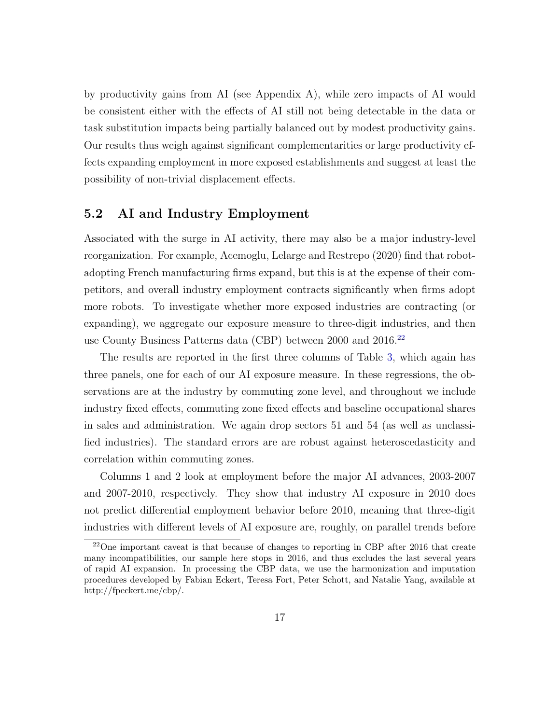by productivity gains from AI (see Appendix A), while zero impacts of AI would be consistent either with the effects of AI still not being detectable in the data or task substitution impacts being partially balanced out by modest productivity gains. Our results thus weigh against significant complementarities or large productivity effects expanding employment in more exposed establishments and suggest at least the possibility of non-trivial displacement effects.

#### 5.2 AI and Industry Employment

Associated with the surge in AI activity, there may also be a major industry-level reorganization. For example, Acemoglu, Lelarge and Restrepo (2020) find that robotadopting French manufacturing firms expand, but this is at the expense of their competitors, and overall industry employment contracts significantly when firms adopt more robots. To investigate whether more exposed industries are contracting (or expanding), we aggregate our exposure measure to three-digit industries, and then use County Business Patterns data (CBP) between 2000 and 2016.<sup>[22](#page-17-0)</sup>

The results are reported in the first three columns of Table [3,](#page-35-0) which again has three panels, one for each of our AI exposure measure. In these regressions, the observations are at the industry by commuting zone level, and throughout we include industry fixed effects, commuting zone fixed effects and baseline occupational shares in sales and administration. We again drop sectors 51 and 54 (as well as unclassified industries). The standard errors are are robust against heteroscedasticity and correlation within commuting zones.

Columns 1 and 2 look at employment before the major AI advances, 2003-2007 and 2007-2010, respectively. They show that industry AI exposure in 2010 does not predict differential employment behavior before 2010, meaning that three-digit industries with different levels of AI exposure are, roughly, on parallel trends before

<span id="page-17-0"></span><sup>22</sup>One important caveat is that because of changes to reporting in CBP after 2016 that create many incompatibilities, our sample here stops in 2016, and thus excludes the last several years of rapid AI expansion. In processing the CBP data, we use the harmonization and imputation procedures developed by Fabian Eckert, Teresa Fort, Peter Schott, and Natalie Yang, available at [http://fpeckert.me/cbp/.](http://fpeckert.me/cbp/)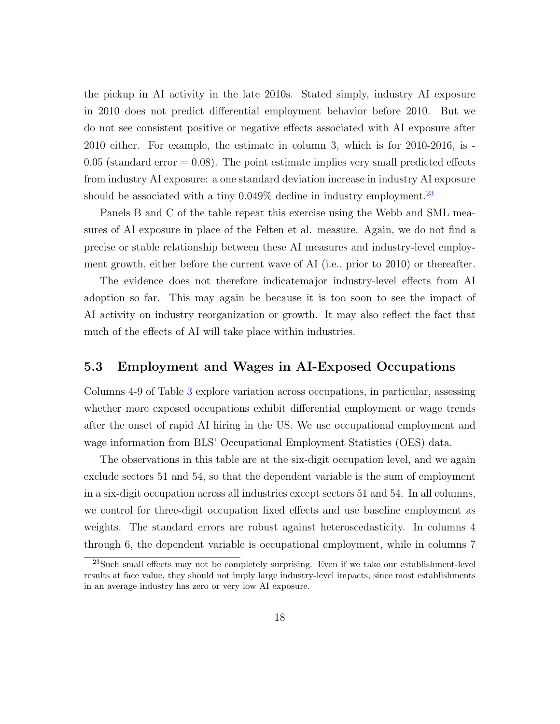the pickup in AI activity in the late 2010s. Stated simply, industry AI exposure in 2010 does not predict differential employment behavior before 2010. But we do not see consistent positive or negative effects associated with AI exposure after 2010 either. For example, the estimate in column 3, which is for 2010-2016, is -  $0.05$  (standard error  $= 0.08$ ). The point estimate implies very small predicted effects from industry AI exposure: a one standard deviation increase in industry AI exposure should be associated with a tiny  $0.049\%$  decline in industry employment.<sup>[23](#page-18-0)</sup>

Panels B and C of the table repeat this exercise using the Webb and SML measures of AI exposure in place of the Felten et al. measure. Again, we do not find a precise or stable relationship between these AI measures and industry-level employment growth, either before the current wave of AI (i.e., prior to 2010) or thereafter.

The evidence does not therefore indicatemajor industry-level effects from AI adoption so far. This may again be because it is too soon to see the impact of AI activity on industry reorganization or growth. It may also reflect the fact that much of the effects of AI will take place within industries.

#### 5.3 Employment and Wages in AI-Exposed Occupations

Columns 4-9 of Table [3](#page-35-0) explore variation across occupations, in particular, assessing whether more exposed occupations exhibit differential employment or wage trends after the onset of rapid AI hiring in the US. We use occupational employment and wage information from BLS' Occupational Employment Statistics (OES) data.

The observations in this table are at the six-digit occupation level, and we again exclude sectors 51 and 54, so that the dependent variable is the sum of employment in a six-digit occupation across all industries except sectors 51 and 54. In all columns, we control for three-digit occupation fixed effects and use baseline employment as weights. The standard errors are robust against heteroscedasticity. In columns 4 through 6, the dependent variable is occupational employment, while in columns 7

<span id="page-18-0"></span><sup>23</sup>Such small effects may not be completely surprising. Even if we take our establishment-level results at face value, they should not imply large industry-level impacts, since most establishments in an average industry has zero or very low AI exposure.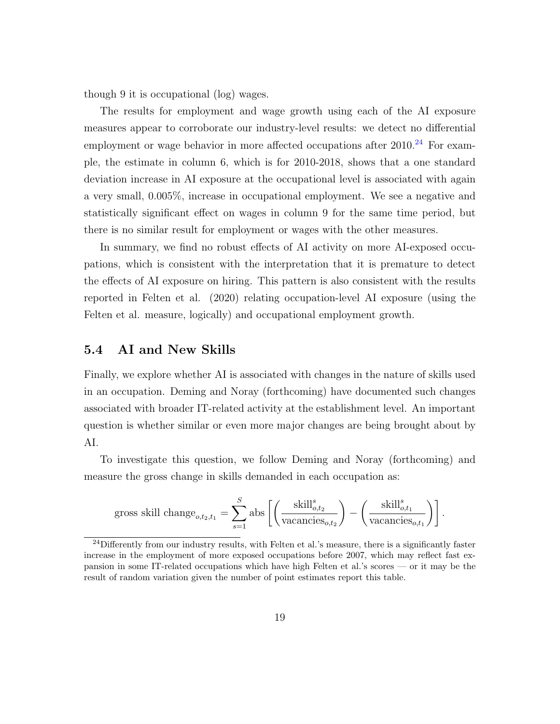though 9 it is occupational (log) wages.

The results for employment and wage growth using each of the AI exposure measures appear to corroborate our industry-level results: we detect no differential employment or wage behavior in more affected occupations after  $2010^{24}$  $2010^{24}$  $2010^{24}$  For example, the estimate in column 6, which is for 2010-2018, shows that a one standard deviation increase in AI exposure at the occupational level is associated with again a very small, 0.005%, increase in occupational employment. We see a negative and statistically significant effect on wages in column 9 for the same time period, but there is no similar result for employment or wages with the other measures.

In summary, we find no robust effects of AI activity on more AI-exposed occupations, which is consistent with the interpretation that it is premature to detect the effects of AI exposure on hiring. This pattern is also consistent with the results reported in Felten et al. (2020) relating occupation-level AI exposure (using the Felten et al. measure, logically) and occupational employment growth.

#### 5.4 AI and New Skills

Finally, we explore whether AI is associated with changes in the nature of skills used in an occupation. Deming and Noray (forthcoming) have documented such changes associated with broader IT-related activity at the establishment level. An important question is whether similar or even more major changes are being brought about by AI.

To investigate this question, we follow Deming and Noray (forthcoming) and measure the gross change in skills demanded in each occupation as:

gross skill change<sub>o,t<sub>2</sub>,t<sub>1</sub></sub> = 
$$
\sum_{s=1}^{S}
$$
 abs  $\left[ \left( \frac{\text{skill}_{o,t_2}^s}{\text{vacancies}_{o,t_2}} \right) - \left( \frac{\text{skill}_{o,t_1}^s}{\text{vacancies}_{o,t_1}} \right) \right].$ 

<span id="page-19-0"></span> $^{24}$ Differently from our industry results, with Felten et al.'s measure, there is a significantly faster increase in the employment of more exposed occupations before 2007, which may reflect fast expansion in some IT-related occupations which have high Felten et al.'s scores — or it may be the result of random variation given the number of point estimates report this table.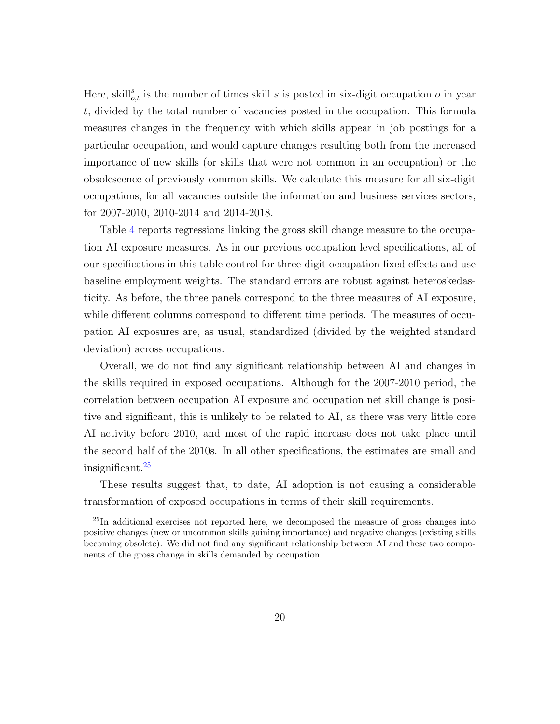Here, skill<sup>s</sup><sub>o,t</sub> is the number of times skill s is posted in six-digit occupation o in year t, divided by the total number of vacancies posted in the occupation. This formula measures changes in the frequency with which skills appear in job postings for a particular occupation, and would capture changes resulting both from the increased importance of new skills (or skills that were not common in an occupation) or the obsolescence of previously common skills. We calculate this measure for all six-digit occupations, for all vacancies outside the information and business services sectors, for 2007-2010, 2010-2014 and 2014-2018.

Table [4](#page-36-0) reports regressions linking the gross skill change measure to the occupation AI exposure measures. As in our previous occupation level specifications, all of our specifications in this table control for three-digit occupation fixed effects and use baseline employment weights. The standard errors are robust against heteroskedasticity. As before, the three panels correspond to the three measures of AI exposure, while different columns correspond to different time periods. The measures of occupation AI exposures are, as usual, standardized (divided by the weighted standard deviation) across occupations.

Overall, we do not find any significant relationship between AI and changes in the skills required in exposed occupations. Although for the 2007-2010 period, the correlation between occupation AI exposure and occupation net skill change is positive and significant, this is unlikely to be related to AI, as there was very little core AI activity before 2010, and most of the rapid increase does not take place until the second half of the 2010s. In all other specifications, the estimates are small and insignificant.<sup>[25](#page-20-1)</sup>

These results suggest that, to date, AI adoption is not causing a considerable transformation of exposed occupations in terms of their skill requirements.

<span id="page-20-1"></span><span id="page-20-0"></span><sup>&</sup>lt;sup>25</sup>In additional exercises not reported here, we decomposed the measure of gross changes into positive changes (new or uncommon skills gaining importance) and negative changes (existing skills becoming obsolete). We did not find any significant relationship between AI and these two components of the gross change in skills demanded by occupation.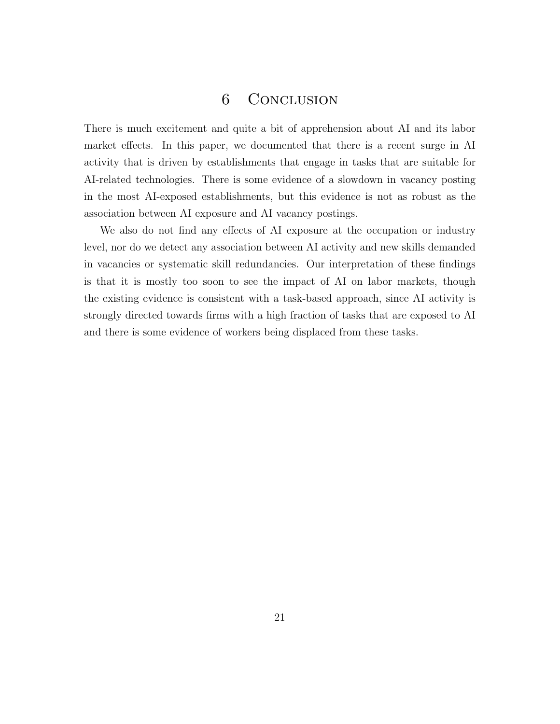## 6 Conclusion

There is much excitement and quite a bit of apprehension about AI and its labor market effects. In this paper, we documented that there is a recent surge in AI activity that is driven by establishments that engage in tasks that are suitable for AI-related technologies. There is some evidence of a slowdown in vacancy posting in the most AI-exposed establishments, but this evidence is not as robust as the association between AI exposure and AI vacancy postings.

We also do not find any effects of AI exposure at the occupation or industry level, nor do we detect any association between AI activity and new skills demanded in vacancies or systematic skill redundancies. Our interpretation of these findings is that it is mostly too soon to see the impact of AI on labor markets, though the existing evidence is consistent with a task-based approach, since AI activity is strongly directed towards firms with a high fraction of tasks that are exposed to AI and there is some evidence of workers being displaced from these tasks.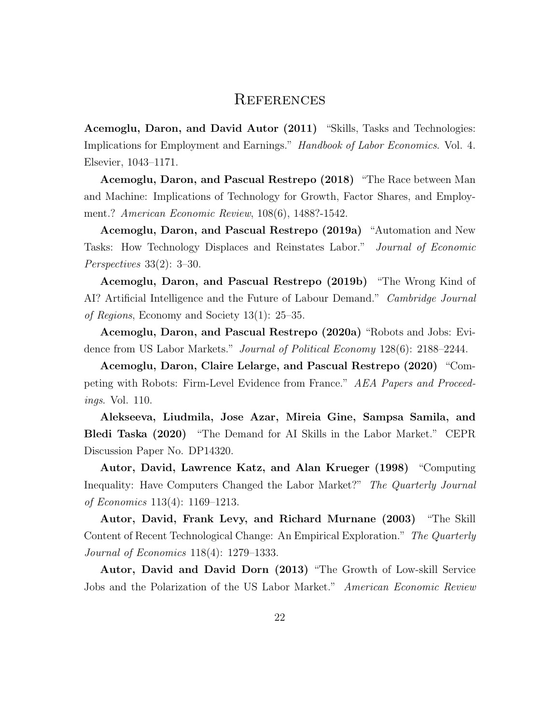#### **REFERENCES**

Acemoglu, Daron, and David Autor (2011) "Skills, Tasks and Technologies: Implications for Employment and Earnings." Handbook of Labor Economics. Vol. 4. Elsevier, 1043–1171.

Acemoglu, Daron, and Pascual Restrepo (2018) "The Race between Man and Machine: Implications of Technology for Growth, Factor Shares, and Employment.? American Economic Review, 108(6), 1488?-1542.

Acemoglu, Daron, and Pascual Restrepo (2019a) "Automation and New Tasks: How Technology Displaces and Reinstates Labor." Journal of Economic Perspectives 33(2): 3–30.

Acemoglu, Daron, and Pascual Restrepo (2019b) "The Wrong Kind of AI? Artificial Intelligence and the Future of Labour Demand." Cambridge Journal of Regions, Economy and Society 13(1): 25–35.

Acemoglu, Daron, and Pascual Restrepo (2020a) "Robots and Jobs: Evidence from US Labor Markets." Journal of Political Economy 128(6): 2188–2244.

Acemoglu, Daron, Claire Lelarge, and Pascual Restrepo (2020) "Competing with Robots: Firm-Level Evidence from France." AEA Papers and Proceedings. Vol. 110.

Alekseeva, Liudmila, Jose Azar, Mireia Gine, Sampsa Samila, and Bledi Taska (2020) "The Demand for AI Skills in the Labor Market." CEPR Discussion Paper No. DP14320.

Autor, David, Lawrence Katz, and Alan Krueger (1998) "Computing Inequality: Have Computers Changed the Labor Market?" The Quarterly Journal of Economics 113(4): 1169–1213.

Autor, David, Frank Levy, and Richard Murnane (2003) "The Skill Content of Recent Technological Change: An Empirical Exploration." The Quarterly Journal of Economics 118(4): 1279–1333.

Autor, David and David Dorn (2013) "The Growth of Low-skill Service Jobs and the Polarization of the US Labor Market." American Economic Review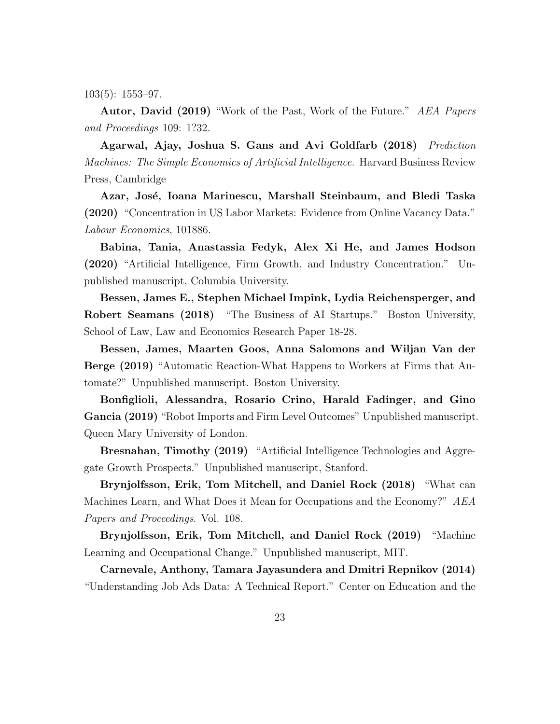103(5): 1553–97.

Autor, David (2019) "Work of the Past, Work of the Future." AEA Papers and Proceedings 109: 1?32.

Agarwal, Ajay, Joshua S. Gans and Avi Goldfarb (2018) Prediction Machines: The Simple Economics of Artificial Intelligence. Harvard Business Review Press, Cambridge

Azar, José, Ioana Marinescu, Marshall Steinbaum, and Bledi Taska (2020) "Concentration in US Labor Markets: Evidence from Online Vacancy Data." Labour Economics, 101886.

Babina, Tania, Anastassia Fedyk, Alex Xi He, and James Hodson (2020) "Artificial Intelligence, Firm Growth, and Industry Concentration." Unpublished manuscript, Columbia University.

Bessen, James E., Stephen Michael Impink, Lydia Reichensperger, and Robert Seamans (2018) "The Business of AI Startups." Boston University, School of Law, Law and Economics Research Paper 18-28.

Bessen, James, Maarten Goos, Anna Salomons and Wiljan Van der Berge (2019) "Automatic Reaction-What Happens to Workers at Firms that Automate?" Unpublished manuscript. Boston University.

Bonfiglioli, Alessandra, Rosario Crino, Harald Fadinger, and Gino Gancia (2019) "Robot Imports and Firm Level Outcomes" Unpublished manuscript. Queen Mary University of London.

Bresnahan, Timothy (2019) "Artificial Intelligence Technologies and Aggregate Growth Prospects." Unpublished manuscript, Stanford.

Brynjolfsson, Erik, Tom Mitchell, and Daniel Rock (2018) "What can Machines Learn, and What Does it Mean for Occupations and the Economy?" AEA Papers and Proceedings. Vol. 108.

Brynjolfsson, Erik, Tom Mitchell, and Daniel Rock (2019) "Machine Learning and Occupational Change." Unpublished manuscript, MIT.

Carnevale, Anthony, Tamara Jayasundera and Dmitri Repnikov (2014) "Understanding Job Ads Data: A Technical Report." Center on Education and the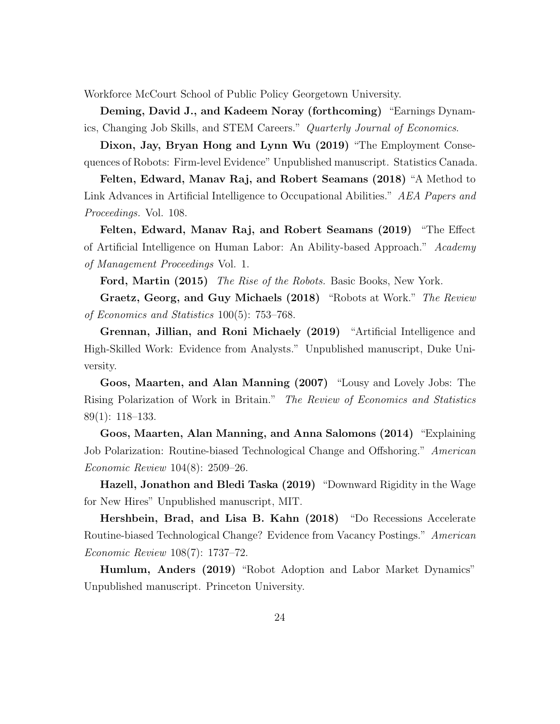Workforce McCourt School of Public Policy Georgetown University.

Deming, David J., and Kadeem Noray (forthcoming) "Earnings Dynamics, Changing Job Skills, and STEM Careers." Quarterly Journal of Economics.

Dixon, Jay, Bryan Hong and Lynn Wu (2019) "The Employment Consequences of Robots: Firm-level Evidence" Unpublished manuscript. Statistics Canada.

Felten, Edward, Manav Raj, and Robert Seamans (2018) "A Method to Link Advances in Artificial Intelligence to Occupational Abilities." AEA Papers and Proceedings. Vol. 108.

Felten, Edward, Manav Raj, and Robert Seamans (2019) "The Effect of Artificial Intelligence on Human Labor: An Ability-based Approach." Academy of Management Proceedings Vol. 1.

Ford, Martin (2015) The Rise of the Robots. Basic Books, New York.

Graetz, Georg, and Guy Michaels (2018) "Robots at Work." The Review of Economics and Statistics 100(5): 753–768.

Grennan, Jillian, and Roni Michaely (2019) "Artificial Intelligence and High-Skilled Work: Evidence from Analysts." Unpublished manuscript, Duke University.

Goos, Maarten, and Alan Manning (2007) "Lousy and Lovely Jobs: The Rising Polarization of Work in Britain." The Review of Economics and Statistics 89(1): 118–133.

Goos, Maarten, Alan Manning, and Anna Salomons (2014) "Explaining Job Polarization: Routine-biased Technological Change and Offshoring." American Economic Review 104(8): 2509–26.

Hazell, Jonathon and Bledi Taska (2019) "Downward Rigidity in the Wage for New Hires" Unpublished manuscript, MIT.

Hershbein, Brad, and Lisa B. Kahn (2018) "Do Recessions Accelerate Routine-biased Technological Change? Evidence from Vacancy Postings." American Economic Review 108(7): 1737–72.

Humlum, Anders (2019) "Robot Adoption and Labor Market Dynamics" Unpublished manuscript. Princeton University.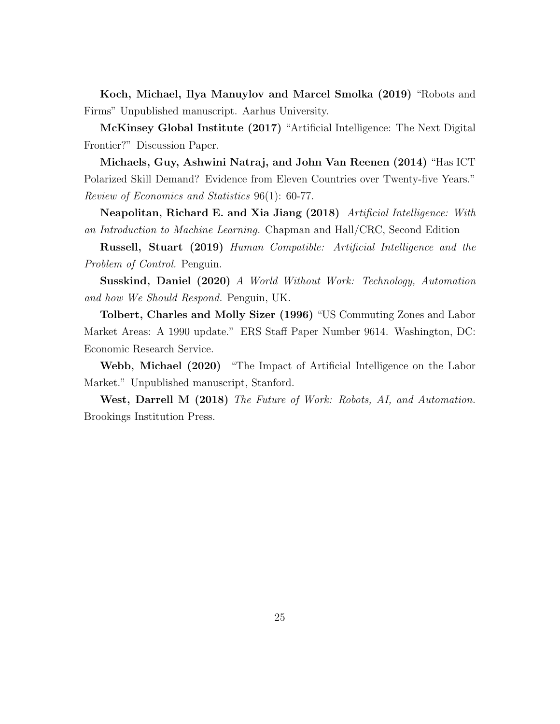Koch, Michael, Ilya Manuylov and Marcel Smolka (2019) "Robots and Firms" Unpublished manuscript. Aarhus University.

McKinsey Global Institute (2017) "Artificial Intelligence: The Next Digital Frontier?" Discussion Paper.

Michaels, Guy, Ashwini Natraj, and John Van Reenen (2014) "Has ICT Polarized Skill Demand? Evidence from Eleven Countries over Twenty-five Years." Review of Economics and Statistics 96(1): 60-77.

Neapolitan, Richard E. and Xia Jiang (2018) Artificial Intelligence: With an Introduction to Machine Learning. Chapman and Hall/CRC, Second Edition

Russell, Stuart (2019) Human Compatible: Artificial Intelligence and the Problem of Control. Penguin.

Susskind, Daniel (2020) A World Without Work: Technology, Automation and how We Should Respond. Penguin, UK.

Tolbert, Charles and Molly Sizer (1996) "US Commuting Zones and Labor Market Areas: A 1990 update." ERS Staff Paper Number 9614. Washington, DC: Economic Research Service.

Webb, Michael (2020) "The Impact of Artificial Intelligence on the Labor Market." Unpublished manuscript, Stanford.

West, Darrell M (2018) The Future of Work: Robots, AI, and Automation. Brookings Institution Press.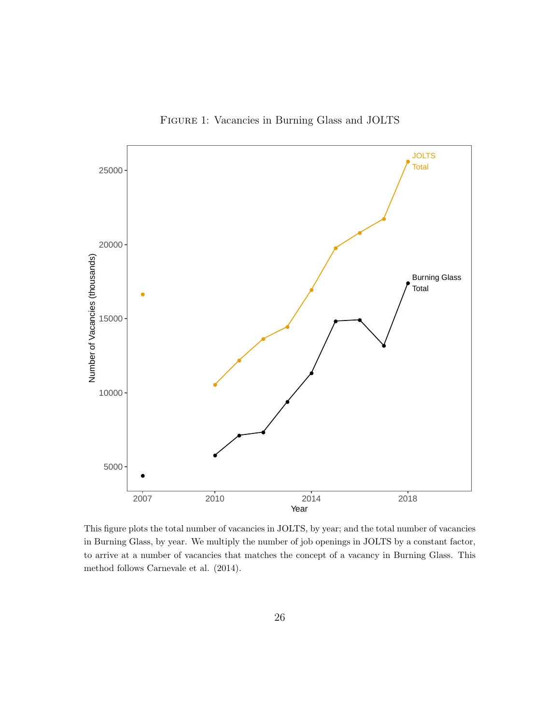

<span id="page-26-0"></span>Figure 1: Vacancies in Burning Glass and JOLTS

This figure plots the total number of vacancies in JOLTS, by year; and the total number of vacancies in Burning Glass, by year. We multiply the number of job openings in JOLTS by a constant factor, to arrive at a number of vacancies that matches the concept of a vacancy in Burning Glass. This method follows Carnevale et al. (2014).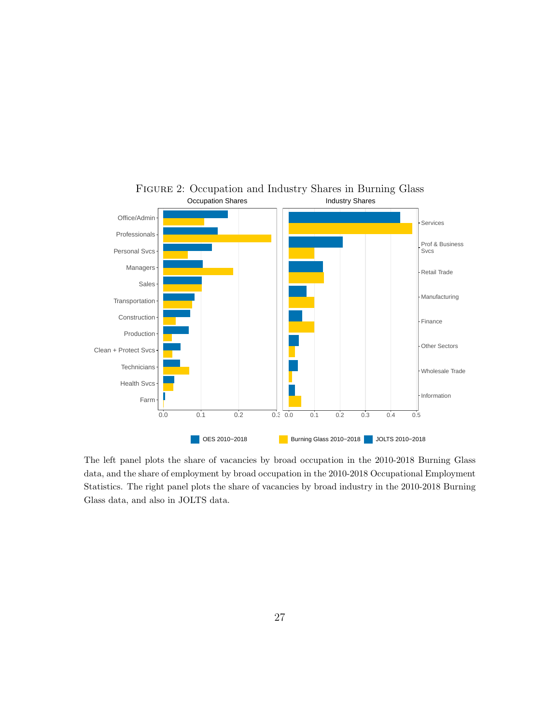

<span id="page-27-0"></span>FIGURE 2: Occupation and Industry Shares in Burning Glass Occupation Shares Industry Shares

The left panel plots the share of vacancies by broad occupation in the 2010-2018 Burning Glass data, and the share of employment by broad occupation in the 2010-2018 Occupational Employment Statistics. The right panel plots the share of vacancies by broad industry in the 2010-2018 Burning Glass data, and also in JOLTS data.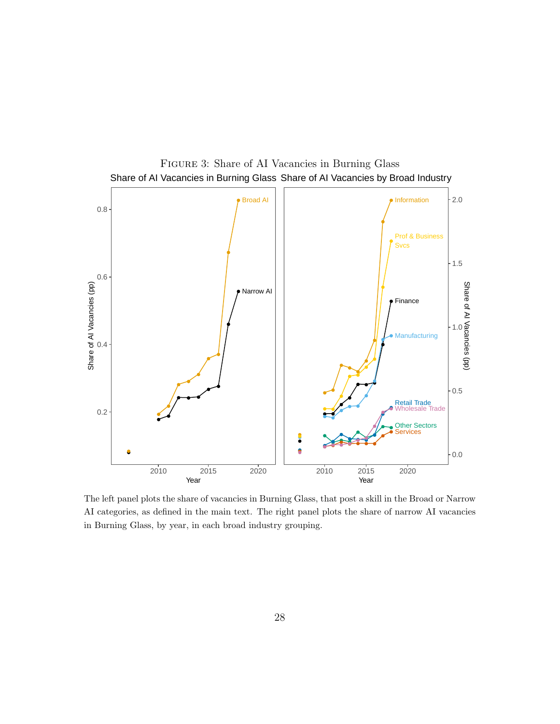

<span id="page-28-0"></span>Figure 3: Share of AI Vacancies in Burning Glass Share of AI Vacancies in Burning Glass Share of AI Vacancies by Broad Industry

The left panel plots the share of vacancies in Burning Glass, that post a skill in the Broad or Narrow AI categories, as defined in the main text. The right panel plots the share of narrow AI vacancies in Burning Glass, by year, in each broad industry grouping.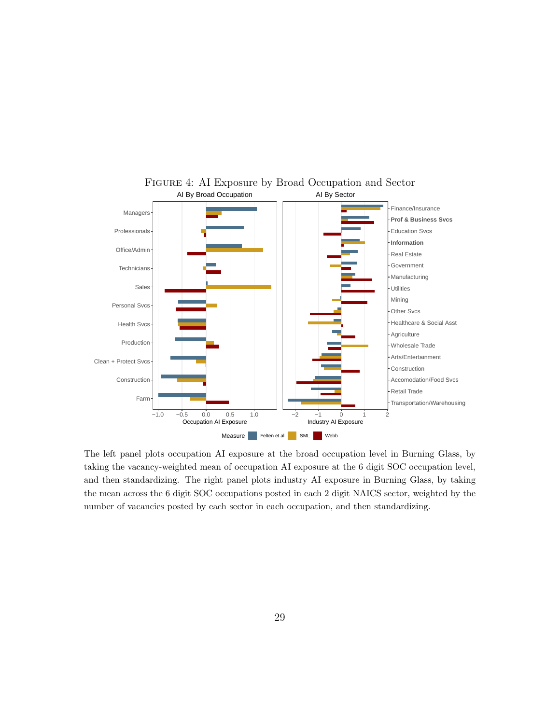

<span id="page-29-0"></span>Figure 4: AI Exposure by Broad Occupation and Sector AI By Broad Occupation AI By Sector

The left panel plots occupation AI exposure at the broad occupation level in Burning Glass, by taking the vacancy-weighted mean of occupation AI exposure at the 6 digit SOC occupation level, and then standardizing. The right panel plots industry AI exposure in Burning Glass, by taking the mean across the 6 digit SOC occupations posted in each 2 digit NAICS sector, weighted by the number of vacancies posted by each sector in each occupation, and then standardizing.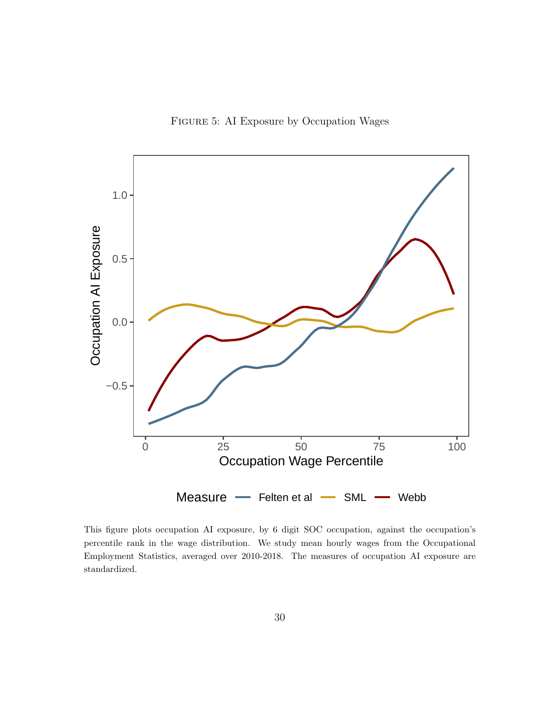<span id="page-30-0"></span>Figure 5: AI Exposure by Occupation Wages



This figure plots occupation AI exposure, by 6 digit SOC occupation, against the occupation's percentile rank in the wage distribution. We study mean hourly wages from the Occupational Employment Statistics, averaged over 2010-2018. The measures of occupation AI exposure are standardized.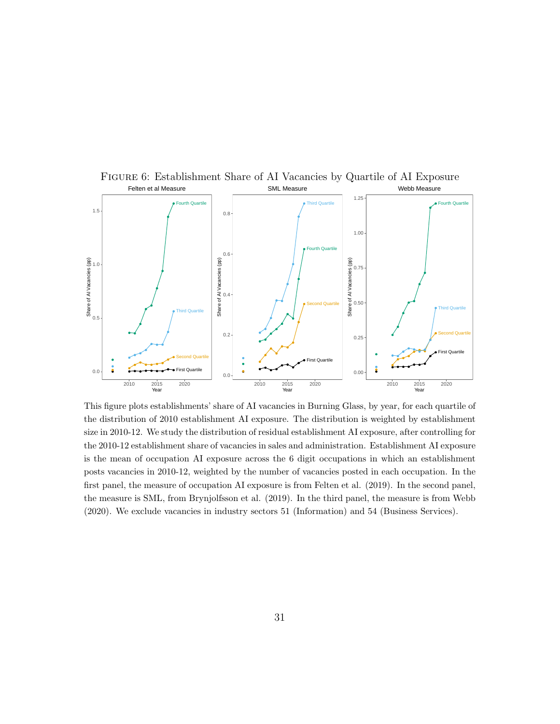

This figure plots establishments' share of AI vacancies in Burning Glass, by year, for each quartile of the distribution of 2010 establishment AI exposure. The distribution is weighted by establishment size in 2010-12. We study the distribution of residual establishment AI exposure, after controlling for the 2010-12 establishment share of vacancies in sales and administration. Establishment AI exposure is the mean of occupation AI exposure across the 6 digit occupations in which an establishment posts vacancies in 2010-12, weighted by the number of vacancies posted in each occupation. In the first panel, the measure of occupation AI exposure is from Felten et al. (2019). In the second panel, the measure is SML, from Brynjolfsson et al. (2019). In the third panel, the measure is from Webb (2020). We exclude vacancies in industry sectors 51 (Information) and 54 (Business Services).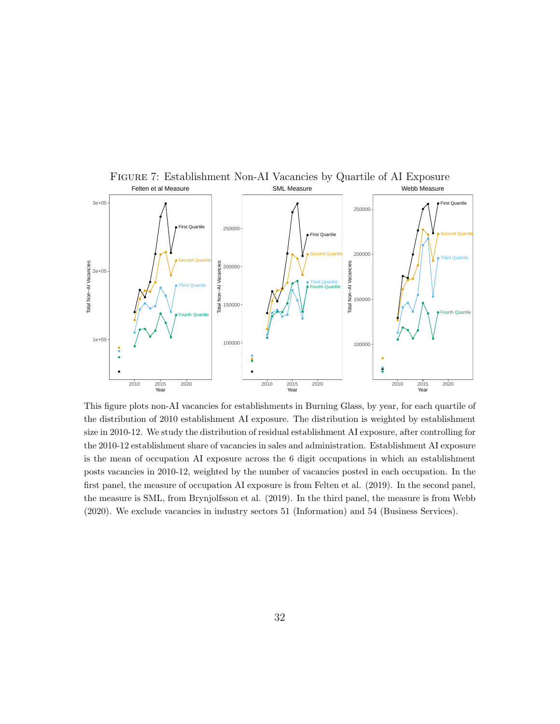

Figure 7: Establishment Non-AI Vacancies by Quartile of AI Exposure

This figure plots non-AI vacancies for establishments in Burning Glass, by year, for each quartile of the distribution of 2010 establishment AI exposure. The distribution is weighted by establishment size in 2010-12. We study the distribution of residual establishment AI exposure, after controlling for the 2010-12 establishment share of vacancies in sales and administration. Establishment AI exposure is the mean of occupation AI exposure across the 6 digit occupations in which an establishment posts vacancies in 2010-12, weighted by the number of vacancies posted in each occupation. In the first panel, the measure of occupation AI exposure is from Felten et al. (2019). In the second panel, the measure is SML, from Brynjolfsson et al. (2019). In the third panel, the measure is from Webb (2020). We exclude vacancies in industry sectors 51 (Information) and 54 (Business Services).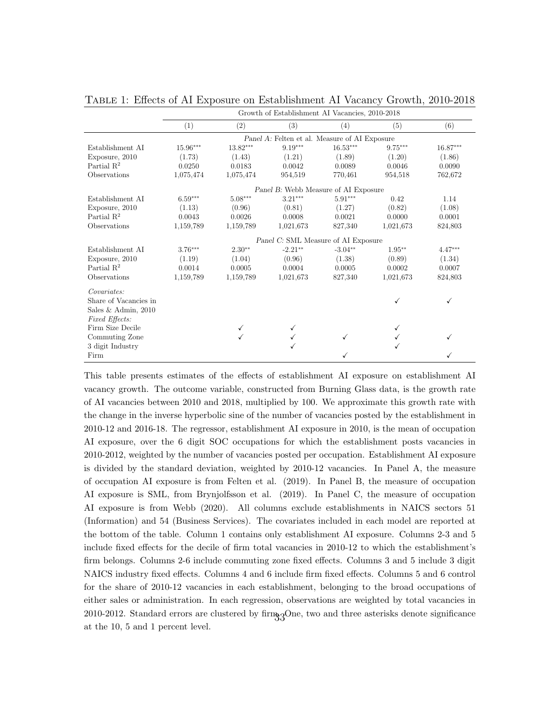|                        | Growth of Establishment AI Vacancies, 2010-2018 |           |                                               |              |           |           |  |  |  |
|------------------------|-------------------------------------------------|-----------|-----------------------------------------------|--------------|-----------|-----------|--|--|--|
|                        | (1)                                             | (2)       | (3)                                           | (4)          | (5)       | (6)       |  |  |  |
|                        |                                                 |           | Panel A: Felten et al. Measure of AI Exposure |              |           |           |  |  |  |
| Establishment AI       | 15.96***                                        | 13.82***  | $9.19***$                                     | $16.53***$   | $9.75***$ | 16.87***  |  |  |  |
| Exposure, 2010         | (1.73)                                          | (1.43)    | (1.21)                                        | (1.89)       | (1.20)    | (1.86)    |  |  |  |
| Partial $\mathbb{R}^2$ | 0.0250                                          | 0.0183    | 0.0042                                        | 0.0089       | 0.0046    | 0.0090    |  |  |  |
| Observations           | 1,075,474                                       | 1,075,474 | 954,519                                       | 770,461      | 954,518   | 762,672   |  |  |  |
|                        |                                                 |           | Panel B: Webb Measure of AI Exposure          |              |           |           |  |  |  |
| Establishment AI       | $6.59***$                                       | $5.08***$ | $3.21***$                                     | $5.91***$    | 0.42      | 1.14      |  |  |  |
| Exposure, 2010         | (1.13)                                          | (0.96)    | (0.81)                                        | (1.27)       | (0.82)    | (1.08)    |  |  |  |
| Partial $\mathbb{R}^2$ | 0.0043                                          | 0.0026    | 0.0008                                        | 0.0021       | 0.0000    | 0.0001    |  |  |  |
| Observations           | 1,159,789                                       | 1,159,789 | 1,021,673                                     | 827,340      | 1,021,673 | 824,803   |  |  |  |
|                        |                                                 |           | Panel C: SML Measure of AI Exposure           |              |           |           |  |  |  |
| Establishment AI       | $3.76***$                                       | $2.30**$  | $-2.21**$                                     | $-3.04**$    | $1.95**$  | $4.47***$ |  |  |  |
| Exposure, 2010         | (1.19)                                          | (1.04)    | (0.96)                                        | (1.38)       | (0.89)    | (1.34)    |  |  |  |
| Partial $\mathbb{R}^2$ | 0.0014                                          | 0.0005    | 0.0004                                        | 0.0005       | 0.0002    | 0.0007    |  |  |  |
| Observations           | 1,159,789                                       | 1,159,789 | 1,021,673                                     | 827,340      | 1,021,673 | 824,803   |  |  |  |
| Covariates:            |                                                 |           |                                               |              |           |           |  |  |  |
| Share of Vacancies in  |                                                 |           |                                               |              |           | ✓         |  |  |  |
| Sales & Admin, $2010$  |                                                 |           |                                               |              |           |           |  |  |  |
| Fixed Effects:         |                                                 |           |                                               |              |           |           |  |  |  |
| Firm Size Decile       |                                                 |           |                                               |              |           |           |  |  |  |
| Commuting Zone         |                                                 |           |                                               | $\checkmark$ |           | ✓         |  |  |  |
| 3 digit Industry       |                                                 |           |                                               |              |           |           |  |  |  |
| Firm                   |                                                 |           |                                               |              |           |           |  |  |  |

<span id="page-33-0"></span>Table 1: Effects of AI Exposure on Establishment AI Vacancy Growth, 2010-2018

This table presents estimates of the effects of establishment AI exposure on establishment AI vacancy growth. The outcome variable, constructed from Burning Glass data, is the growth rate of AI vacancies between 2010 and 2018, multiplied by 100. We approximate this growth rate with the change in the inverse hyperbolic sine of the number of vacancies posted by the establishment in 2010-12 and 2016-18. The regressor, establishment AI exposure in 2010, is the mean of occupation AI exposure, over the 6 digit SOC occupations for which the establishment posts vacancies in 2010-2012, weighted by the number of vacancies posted per occupation. Establishment AI exposure is divided by the standard deviation, weighted by 2010-12 vacancies. In Panel A, the measure of occupation AI exposure is from Felten et al. (2019). In Panel B, the measure of occupation AI exposure is SML, from Brynjolfsson et al. (2019). In Panel C, the measure of occupation AI exposure is from Webb (2020). All columns exclude establishments in NAICS sectors 51 (Information) and 54 (Business Services). The covariates included in each model are reported at the bottom of the table. Column 1 contains only establishment AI exposure. Columns 2-3 and 5 include fixed effects for the decile of firm total vacancies in 2010-12 to which the establishment's firm belongs. Columns 2-6 include commuting zone fixed effects. Columns 3 and 5 include 3 digit NAICS industry fixed effects. Columns 4 and 6 include firm fixed effects. Columns 5 and 6 control for the share of 2010-12 vacancies in each establishment, belonging to the broad occupations of either sales or administration. In each regression, observations are weighted by total vacancies in 2010-2012. Standard errors are clustered by  $\lim_{33}$ One, two and three asterisks denote significance at the 10, 5 and 1 percent level.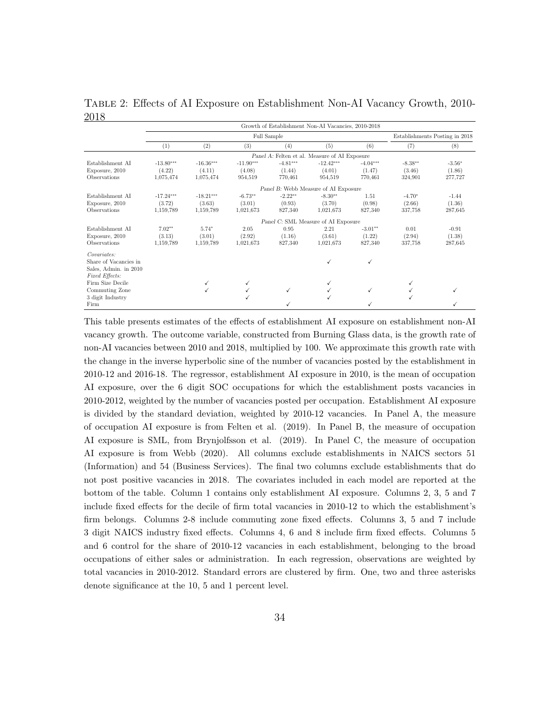| .                                  | Growth of Establishment Non-AI Vacancies, 2010-2018 |             |             |            |                                               |              |                                |          |  |  |
|------------------------------------|-----------------------------------------------------|-------------|-------------|------------|-----------------------------------------------|--------------|--------------------------------|----------|--|--|
|                                    |                                                     |             | Full Sample |            |                                               |              | Establishments Posting in 2018 |          |  |  |
|                                    | (1)                                                 | (2)         | (3)         | (4)        | (5)                                           | (6)          | (7)                            | (8)      |  |  |
|                                    |                                                     |             |             |            | Panel A: Felten et al. Measure of AI Exposure |              |                                |          |  |  |
| Establishment AI                   | $-13.80***$                                         | $-16.36***$ | $-11.90***$ | $-4.81***$ | $-12.42***$                                   | $-4.04***$   | $-8.38**$                      | $-3.56*$ |  |  |
| Exposure, 2010                     | (4.22)                                              | (4.11)      | (4.08)      | (1.44)     | (4.01)                                        | (1.47)       | (3.46)                         | (1.86)   |  |  |
| <b>Observations</b>                | 1,075,474                                           | 1,075,474   | 954,519     | 770,461    | 954,519                                       | 770,461      | 324,901                        | 277,727  |  |  |
|                                    | Panel B: Webb Measure of AI Exposure                |             |             |            |                                               |              |                                |          |  |  |
| Establishment AI                   | $-17.24***$                                         | $-18.21***$ | $-6.73**$   | $-2.22**$  | $-8.30**$                                     | 1.51         | $-4.70*$                       | $-1.44$  |  |  |
| Exposure, 2010                     | (3.72)                                              | (3.63)      | (3.01)      | (0.93)     | (3.70)                                        | (0.98)       | (2.66)                         | (1.36)   |  |  |
| Observations                       | 1,159,789                                           | 1,159,789   | 1,021,673   | 827,340    | 1,021,673                                     | 827,340      | 337,758                        | 287,645  |  |  |
|                                    |                                                     |             |             |            | Panel C: SML Measure of AI Exposure           |              |                                |          |  |  |
| Establishment AI                   | $7.02**$                                            | 5.74*       | 2.05        | 0.95       | 2.21                                          | $-3.01**$    | 0.01                           | $-0.91$  |  |  |
| Exposure, 2010                     | (3.13)                                              | (3.01)      | (2.92)      | (1.16)     | (3.61)                                        | (1.22)       | (2.94)                         | (1.38)   |  |  |
| Observations                       | 1,159,789                                           | 1,159,789   | 1,021,673   | 827,340    | 1,021,673                                     | 827,340      | 337,758                        | 287.645  |  |  |
| Covariates:                        |                                                     |             |             |            |                                               |              |                                |          |  |  |
| Share of Vacancies in              |                                                     |             |             |            | ✓                                             | $\checkmark$ |                                |          |  |  |
| Sales, Admin. in 2010              |                                                     |             |             |            |                                               |              |                                |          |  |  |
| Fixed Effects:<br>Firm Size Decile |                                                     |             |             |            |                                               |              |                                |          |  |  |
| Commuting Zone                     |                                                     |             |             | √          | √                                             | ✓            |                                |          |  |  |
| 3 digit Industry                   |                                                     |             |             |            |                                               |              |                                |          |  |  |
| Firm                               |                                                     |             |             |            |                                               | √            |                                |          |  |  |
|                                    |                                                     |             |             |            |                                               |              |                                |          |  |  |

<span id="page-34-0"></span>Table 2: Effects of AI Exposure on Establishment Non-AI Vacancy Growth, 2010- 2018

This table presents estimates of the effects of establishment AI exposure on establishment non-AI vacancy growth. The outcome variable, constructed from Burning Glass data, is the growth rate of non-AI vacancies between 2010 and 2018, multiplied by 100. We approximate this growth rate with the change in the inverse hyperbolic sine of the number of vacancies posted by the establishment in 2010-12 and 2016-18. The regressor, establishment AI exposure in 2010, is the mean of occupation AI exposure, over the 6 digit SOC occupations for which the establishment posts vacancies in 2010-2012, weighted by the number of vacancies posted per occupation. Establishment AI exposure is divided by the standard deviation, weighted by 2010-12 vacancies. In Panel A, the measure of occupation AI exposure is from Felten et al. (2019). In Panel B, the measure of occupation AI exposure is SML, from Brynjolfsson et al. (2019). In Panel C, the measure of occupation AI exposure is from Webb (2020). All columns exclude establishments in NAICS sectors 51 (Information) and 54 (Business Services). The final two columns exclude establishments that do not post positive vacancies in 2018. The covariates included in each model are reported at the bottom of the table. Column 1 contains only establishment AI exposure. Columns 2, 3, 5 and 7 include fixed effects for the decile of firm total vacancies in 2010-12 to which the establishment's firm belongs. Columns 2-8 include commuting zone fixed effects. Columns 3, 5 and 7 include 3 digit NAICS industry fixed effects. Columns 4, 6 and 8 include firm fixed effects. Columns 5 and 6 control for the share of 2010-12 vacancies in each establishment, belonging to the broad occupations of either sales or administration. In each regression, observations are weighted by total vacancies in 2010-2012. Standard errors are clustered by firm. One, two and three asterisks denote significance at the 10, 5 and 1 percent level.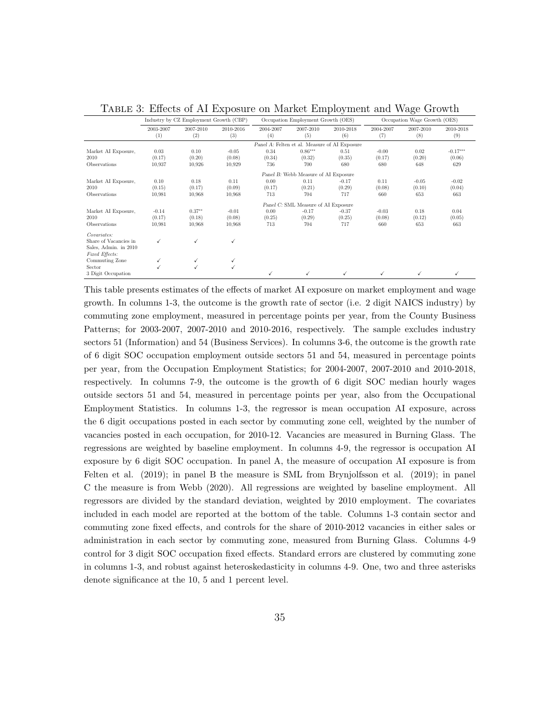|                       |                  |                                        |                  |                  |                                               |                  |                  | $\check{ }$                  |                  |  |
|-----------------------|------------------|----------------------------------------|------------------|------------------|-----------------------------------------------|------------------|------------------|------------------------------|------------------|--|
|                       |                  | Industry by CZ Employment Growth (CBP) |                  |                  | Occupation Employment Growth (OES)            |                  |                  | Occupation Wage Growth (OES) |                  |  |
|                       | 2003-2007<br>(1) | 2007-2010<br>(2)                       | 2010-2016<br>(3) | 2004-2007<br>(4) | 2007-2010<br>(5)                              | 2010-2018<br>(6) | 2004-2007<br>(7) | 2007-2010<br>(8)             | 2010-2018<br>(9) |  |
|                       |                  |                                        |                  |                  | Panel A: Felten et al. Measure of AI Exposure |                  |                  |                              |                  |  |
| Market AI Exposure.   | 0.03             | 0.10                                   | $-0.05$          | 0.34             | $0.86***$                                     | 0.51             | $-0.00$          | 0.02                         | $-0.17***$       |  |
| 2010                  | (0.17)           | (0.20)                                 | (0.08)           | (0.34)           | (0.32)                                        | (0.35)           | (0.17)           | (0.20)                       | (0.06)           |  |
| Observations          | 10.937           | 10,926                                 | 10,929           | 736              | 700                                           | 680              | 680              | 648                          | 629              |  |
|                       |                  | Panel B: Webb Measure of AI Exposure   |                  |                  |                                               |                  |                  |                              |                  |  |
| Market AI Exposure.   | 0.10             | 0.18                                   | 0.11             | 0.00             | 0.11                                          | $-0.17$          | 0.11             | $-0.05$                      | $-0.02$          |  |
| 2010                  | (0.15)           | (0.17)                                 | (0.09)           | (0.17)           | (0.21)                                        | (0.29)           | (0.08)           | (0.10)                       | (0.04)           |  |
| Observations          | 10.981           | 10.968                                 | 10,968           | 713              | 704                                           | 717              | 660              | 653                          | 663              |  |
|                       |                  |                                        |                  |                  | Panel C: SML Measure of AI Exposure           |                  |                  |                              |                  |  |
| Market AI Exposure.   | $-0.14$          | $0.37**$                               | $-0.01$          | 0.00             | $-0.17$                                       | $-0.37$          | $-0.03$          | 0.18                         | 0.04             |  |
| 2010                  | (0.17)           | (0.18)                                 | (0.08)           | (0.25)           | (0.29)                                        | (0.25)           | (0.08)           | (0.12)                       | (0.05)           |  |
| Observations          | 10.981           | 10.968                                 | 10.968           | 713              | 704                                           | 717              | 660              | 653                          | 663              |  |
| Covariates:           |                  |                                        |                  |                  |                                               |                  |                  |                              |                  |  |
| Share of Vacancies in |                  | ✓                                      | $\checkmark$     |                  |                                               |                  |                  |                              |                  |  |
| Sales, Admin. in 2010 |                  |                                        |                  |                  |                                               |                  |                  |                              |                  |  |
| Fixed Effects:        |                  |                                        |                  |                  |                                               |                  |                  |                              |                  |  |
| Commuting Zone        | ✓                | ✓                                      | √                |                  |                                               |                  |                  |                              |                  |  |
| Sector                |                  |                                        | $\checkmark$     |                  |                                               |                  |                  |                              |                  |  |
| 3 Digit Occupation    |                  |                                        |                  | √                |                                               |                  |                  |                              |                  |  |

<span id="page-35-0"></span>Table 3: Effects of AI Exposure on Market Employment and Wage Growth

This table presents estimates of the effects of market AI exposure on market employment and wage growth. In columns 1-3, the outcome is the growth rate of sector (i.e. 2 digit NAICS industry) by commuting zone employment, measured in percentage points per year, from the County Business Patterns; for 2003-2007, 2007-2010 and 2010-2016, respectively. The sample excludes industry sectors 51 (Information) and 54 (Business Services). In columns 3-6, the outcome is the growth rate of 6 digit SOC occupation employment outside sectors 51 and 54, measured in percentage points per year, from the Occupation Employment Statistics; for 2004-2007, 2007-2010 and 2010-2018, respectively. In columns 7-9, the outcome is the growth of 6 digit SOC median hourly wages outside sectors 51 and 54, measured in percentage points per year, also from the Occupational Employment Statistics. In columns 1-3, the regressor is mean occupation AI exposure, across the 6 digit occupations posted in each sector by commuting zone cell, weighted by the number of vacancies posted in each occupation, for 2010-12. Vacancies are measured in Burning Glass. The regressions are weighted by baseline employment. In columns 4-9, the regressor is occupation AI exposure by 6 digit SOC occupation. In panel A, the measure of occupation AI exposure is from Felten et al. (2019); in panel B the measure is SML from Brynjolfsson et al. (2019); in panel C the measure is from Webb (2020). All regressions are weighted by baseline employment. All regressors are divided by the standard deviation, weighted by 2010 employment. The covariates included in each model are reported at the bottom of the table. Columns 1-3 contain sector and commuting zone fixed effects, and controls for the share of 2010-2012 vacancies in either sales or administration in each sector by commuting zone, measured from Burning Glass. Columns 4-9 control for 3 digit SOC occupation fixed effects. Standard errors are clustered by commuting zone in columns 1-3, and robust against heteroskedasticity in columns 4-9. One, two and three asterisks denote significance at the 10, 5 and 1 percent level.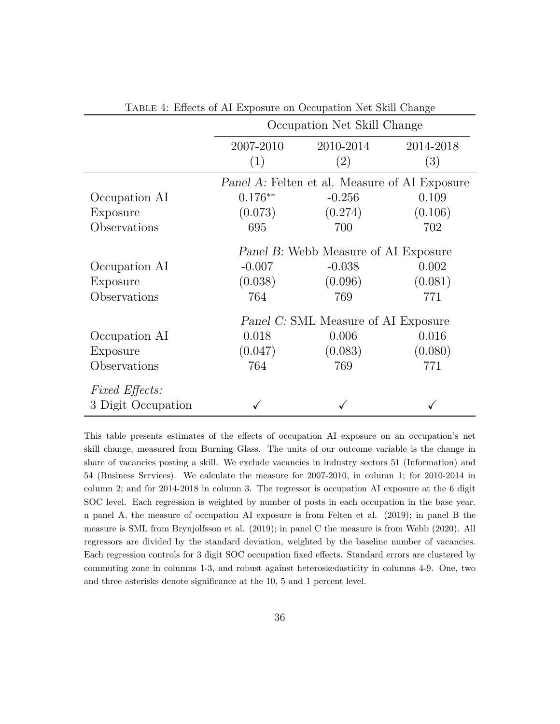|                       |                                      | Occupation Net Skill Change                   |           |  |  |  |  |  |
|-----------------------|--------------------------------------|-----------------------------------------------|-----------|--|--|--|--|--|
|                       | 2007-2010                            | 2010-2014                                     | 2014-2018 |  |  |  |  |  |
|                       | (1)                                  | (2)                                           | (3)       |  |  |  |  |  |
|                       |                                      | Panel A: Felten et al. Measure of AI Exposure |           |  |  |  |  |  |
| Occupation AI         | $0.176**$                            | $-0.256$                                      | 0.109     |  |  |  |  |  |
| Exposure              | (0.073)                              | (0.274)                                       | (0.106)   |  |  |  |  |  |
| Observations          | 695                                  | 700                                           | 702       |  |  |  |  |  |
|                       | Panel B: Webb Measure of AI Exposure |                                               |           |  |  |  |  |  |
| Occupation AI         | $-0.007$                             | $-0.038$                                      | 0.002     |  |  |  |  |  |
| Exposure              | (0.038)                              | (0.096)                                       | (0.081)   |  |  |  |  |  |
| Observations          | 764                                  | 769                                           | 771       |  |  |  |  |  |
|                       |                                      | Panel C: SML Measure of AI Exposure           |           |  |  |  |  |  |
| Occupation AI         | 0.018                                | 0.006                                         | 0.016     |  |  |  |  |  |
| Exposure              | (0.047)                              | (0.083)                                       | (0.080)   |  |  |  |  |  |
| Observations          | 764                                  | 769                                           | 771       |  |  |  |  |  |
| <i>Fixed Effects:</i> |                                      |                                               |           |  |  |  |  |  |
| 3 Digit Occupation    |                                      |                                               |           |  |  |  |  |  |

<span id="page-36-0"></span>Table 4: Effects of AI Exposure on Occupation Net Skill Change

This table presents estimates of the effects of occupation AI exposure on an occupation's net skill change, measured from Burning Glass. The units of our outcome variable is the change in share of vacancies posting a skill. We exclude vacancies in industry sectors 51 (Information) and 54 (Business Services). We calculate the measure for 2007-2010, in column 1; for 2010-2014 in column 2; and for 2014-2018 in column 3. The regressor is occupation AI exposure at the 6 digit SOC level. Each regression is weighted by number of posts in each occupation in the base year. n panel A, the measure of occupation AI exposure is from Felten et al. (2019); in panel B the measure is SML from Brynjolfsson et al. (2019); in panel C the measure is from Webb (2020). All regressors are divided by the standard deviation, weighted by the baseline number of vacancies. Each regression controls for 3 digit SOC occupation fixed effects. Standard errors are clustered by commuting zone in columns 1-3, and robust against heteroskedasticity in columns 4-9. One, two and three asterisks denote significance at the 10, 5 and 1 percent level.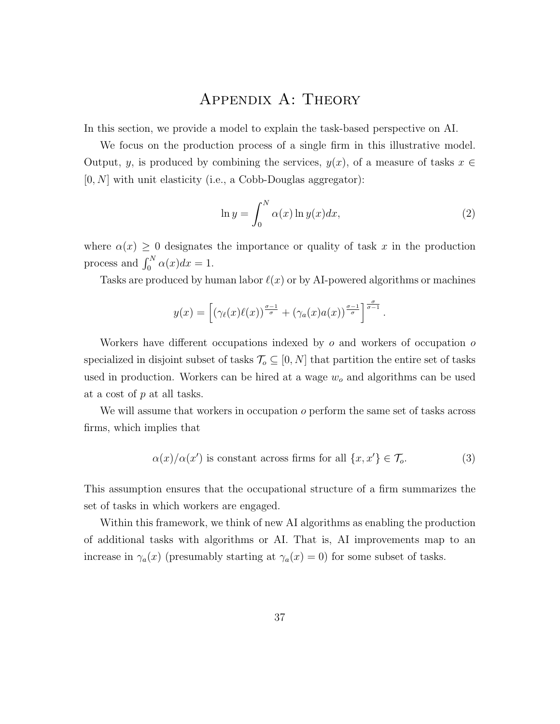## Appendix A: Theory

In this section, we provide a model to explain the task-based perspective on AI.

We focus on the production process of a single firm in this illustrative model. Output, y, is produced by combining the services,  $y(x)$ , of a measure of tasks  $x \in$  $[0, N]$  with unit elasticity (i.e., a Cobb-Douglas aggregator):

$$
\ln y = \int_0^N \alpha(x) \ln y(x) dx,
$$
\n(2)

where  $\alpha(x) \geq 0$  designates the importance or quality of task x in the production process and  $\int_0^N \alpha(x)dx = 1$ .

Tasks are produced by human labor  $\ell(x)$  or by AI-powered algorithms or machines

$$
y(x) = \left[ \left( \gamma_{\ell}(x) \ell(x) \right)^{\frac{\sigma-1}{\sigma}} + \left( \gamma_a(x) a(x) \right)^{\frac{\sigma-1}{\sigma}} \right]^{\frac{\sigma}{\sigma-1}}.
$$

Workers have different occupations indexed by  $\sigma$  and workers of occupation  $\sigma$ specialized in disjoint subset of tasks  $\mathcal{T}_{o} \subseteq [0,N]$  that partition the entire set of tasks used in production. Workers can be hired at a wage  $w<sub>o</sub>$  and algorithms can be used at a cost of p at all tasks.

We will assume that workers in occupation  $o$  perform the same set of tasks across firms, which implies that

<span id="page-37-0"></span>
$$
\alpha(x)/\alpha(x') \text{ is constant across firms for all } \{x, x'\} \in \mathcal{T}_o. \tag{3}
$$

This assumption ensures that the occupational structure of a firm summarizes the set of tasks in which workers are engaged.

Within this framework, we think of new AI algorithms as enabling the production of additional tasks with algorithms or AI. That is, AI improvements map to an increase in  $\gamma_a(x)$  (presumably starting at  $\gamma_a(x) = 0$ ) for some subset of tasks.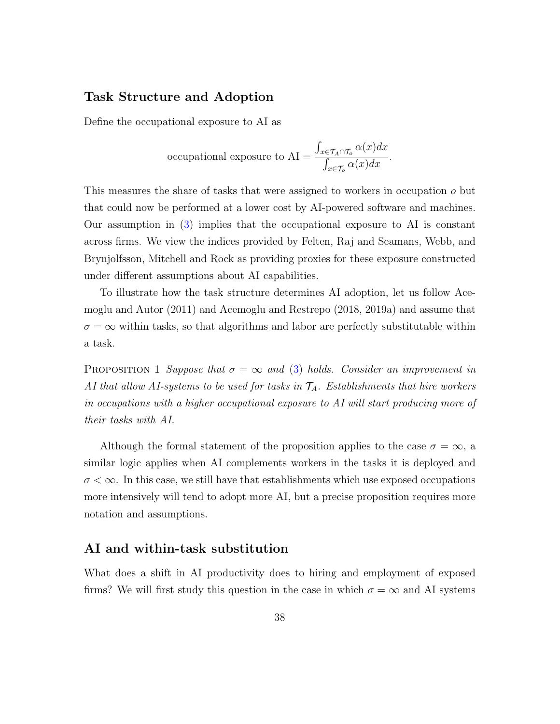#### Task Structure and Adoption

Define the occupational exposure to AI as

occupied exponential exposure to AI = 
$$
\frac{\int_{x \in \mathcal{T}_A \cap \mathcal{T}_o} \alpha(x) dx}{\int_{x \in \mathcal{T}_o} \alpha(x) dx}.
$$

This measures the share of tasks that were assigned to workers in occupation o but that could now be performed at a lower cost by AI-powered software and machines. Our assumption in [\(3\)](#page-37-0) implies that the occupational exposure to AI is constant across firms. We view the indices provided by Felten, Raj and Seamans, Webb, and Brynjolfsson, Mitchell and Rock as providing proxies for these exposure constructed under different assumptions about AI capabilities.

To illustrate how the task structure determines AI adoption, let us follow Acemoglu and Autor (2011) and Acemoglu and Restrepo (2018, 2019a) and assume that  $\sigma = \infty$  within tasks, so that algorithms and labor are perfectly substitutable within a task.

**PROPOSITION** 1 Suppose that  $\sigma = \infty$  and [\(3\)](#page-37-0) holds. Consider an improvement in AI that allow AI-systems to be used for tasks in  $\mathcal{T}_A$ . Establishments that hire workers in occupations with a higher occupational exposure to AI will start producing more of their tasks with AI.

Although the formal statement of the proposition applies to the case  $\sigma = \infty$ , a similar logic applies when AI complements workers in the tasks it is deployed and  $\sigma < \infty$ . In this case, we still have that establishments which use exposed occupations more intensively will tend to adopt more AI, but a precise proposition requires more notation and assumptions.

#### AI and within-task substitution

What does a shift in AI productivity does to hiring and employment of exposed firms? We will first study this question in the case in which  $\sigma = \infty$  and AI systems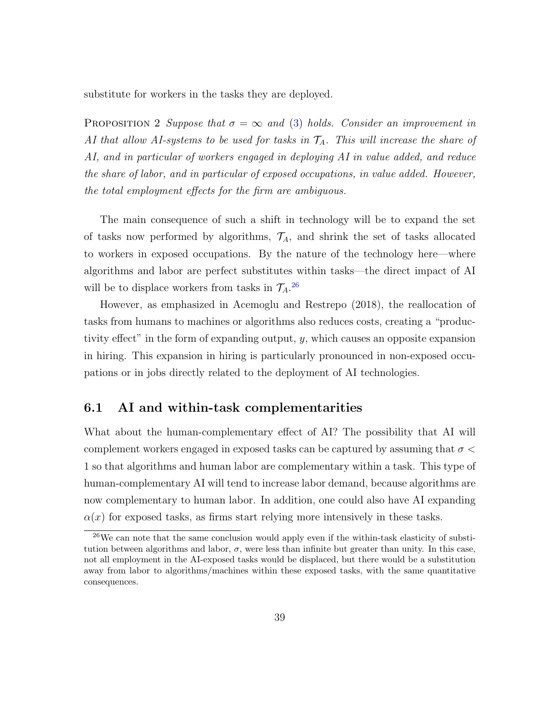substitute for workers in the tasks they are deployed.

**PROPOSITION** 2 Suppose that  $\sigma = \infty$  and [\(3\)](#page-37-0) holds. Consider an improvement in AI that allow AI-systems to be used for tasks in  $\mathcal{T}_A$ . This will increase the share of AI, and in particular of workers engaged in deploying AI in value added, and reduce the share of labor, and in particular of exposed occupations, in value added. However, the total employment effects for the firm are ambiguous.

The main consequence of such a shift in technology will be to expand the set of tasks now performed by algorithms,  $\mathcal{T}_A$ , and shrink the set of tasks allocated to workers in exposed occupations. By the nature of the technology here—where algorithms and labor are perfect substitutes within tasks—the direct impact of AI will be to displace workers from tasks in  $\mathcal{T}_A$ .<sup>[26](#page-39-0)</sup>

However, as emphasized in Acemoglu and Restrepo (2018), the reallocation of tasks from humans to machines or algorithms also reduces costs, creating a "productivity effect" in the form of expanding output, y, which causes an opposite expansion in hiring. This expansion in hiring is particularly pronounced in non-exposed occupations or in jobs directly related to the deployment of AI technologies.

#### 6.1 AI and within-task complementarities

What about the human-complementary effect of AI? The possibility that AI will complement workers engaged in exposed tasks can be captured by assuming that  $\sigma$ 1 so that algorithms and human labor are complementary within a task. This type of human-complementary AI will tend to increase labor demand, because algorithms are now complementary to human labor. In addition, one could also have AI expanding  $\alpha(x)$  for exposed tasks, as firms start relying more intensively in these tasks.

<span id="page-39-0"></span> $^{26}$ We can note that the same conclusion would apply even if the within-task elasticity of substitution between algorithms and labor,  $\sigma$ , were less than infinite but greater than unity. In this case, not all employment in the AI-exposed tasks would be displaced, but there would be a substitution away from labor to algorithms/machines within these exposed tasks, with the same quantitative consequences.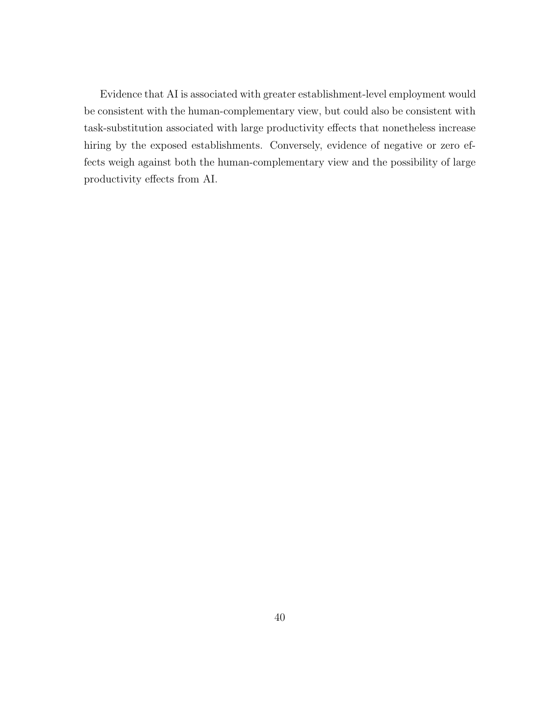Evidence that AI is associated with greater establishment-level employment would be consistent with the human-complementary view, but could also be consistent with task-substitution associated with large productivity effects that nonetheless increase hiring by the exposed establishments. Conversely, evidence of negative or zero effects weigh against both the human-complementary view and the possibility of large productivity effects from AI.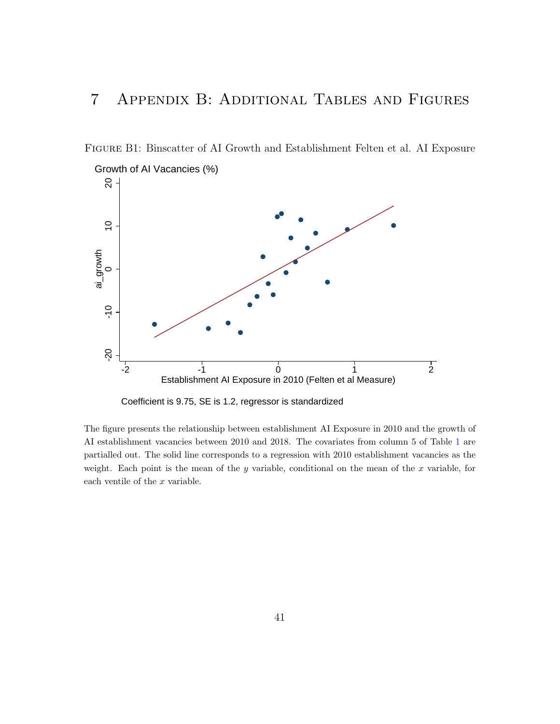# 7 Appendix B: Additional Tables and Figures

Figure B1: Binscatter of AI Growth and Establishment Felten et al. AI Exposure



Coefficient is 9.75, SE is 1.2, regressor is standardized

The figure presents the relationship between establishment AI Exposure in 2010 and the growth of AI establishment vacancies between 2010 and 2018. The covariates from column 5 of Table [1](#page-33-0) are partialled out. The solid line corresponds to a regression with 2010 establishment vacancies as the weight. Each point is the mean of the y variable, conditional on the mean of the  $x$  variable, for each ventile of the  $x$  variable.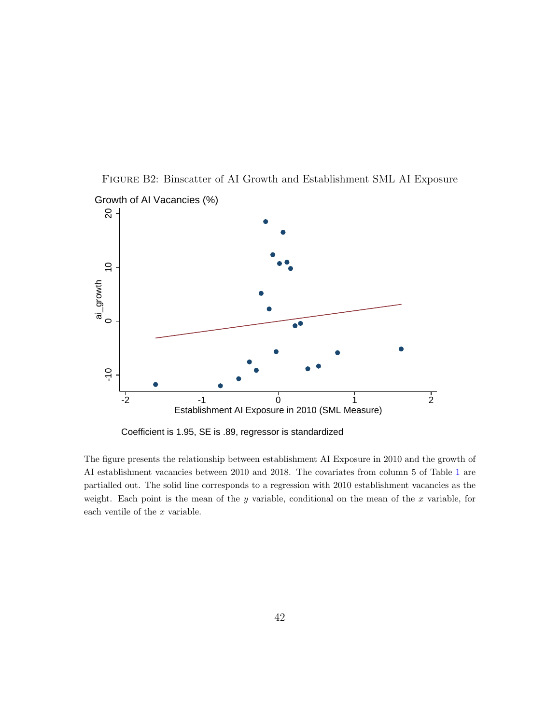

Figure B2: Binscatter of AI Growth and Establishment SML AI Exposure Growth of AI Vacancies (%)

Coefficient is 1.95, SE is .89, regressor is standardized

The figure presents the relationship between establishment AI Exposure in 2010 and the growth of AI establishment vacancies between 2010 and 2018. The covariates from column 5 of Table [1](#page-33-0) are partialled out. The solid line corresponds to a regression with 2010 establishment vacancies as the weight. Each point is the mean of the y variable, conditional on the mean of the  $x$  variable, for each ventile of the  $x$  variable.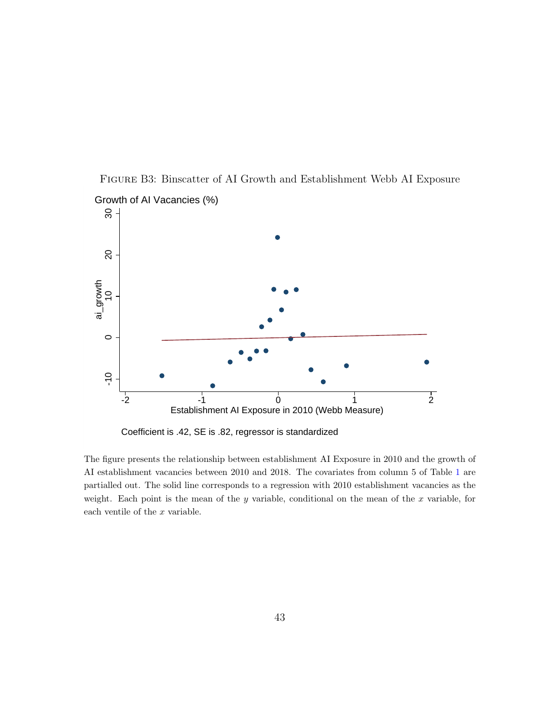

Figure B3: Binscatter of AI Growth and Establishment Webb AI Exposure Growth of AI Vacancies (%)

Coefficient is .42, SE is .82, regressor is standardized

The figure presents the relationship between establishment AI Exposure in 2010 and the growth of AI establishment vacancies between 2010 and 2018. The covariates from column 5 of Table [1](#page-33-0) are partialled out. The solid line corresponds to a regression with 2010 establishment vacancies as the weight. Each point is the mean of the y variable, conditional on the mean of the  $x$  variable, for each ventile of the  $x$  variable.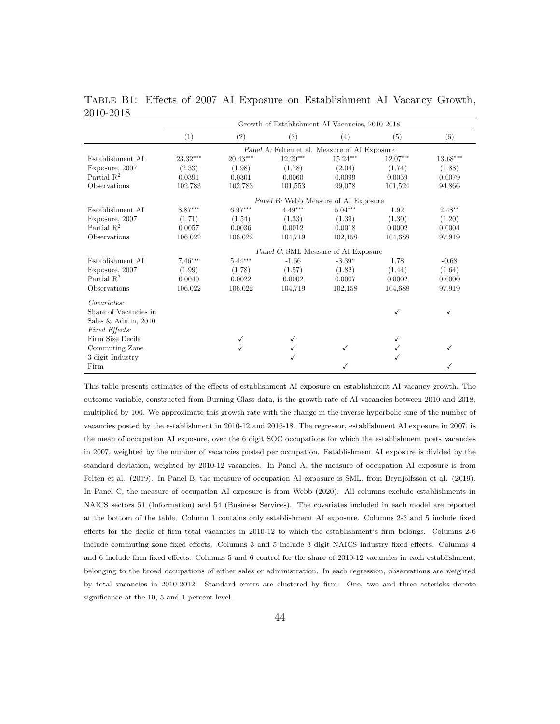|                        | Growth of Establishment AI Vacancies, 2010-2018 |            |                                               |            |          |          |  |  |  |
|------------------------|-------------------------------------------------|------------|-----------------------------------------------|------------|----------|----------|--|--|--|
|                        | (1)                                             | (2)        | (3)                                           | (4)        | (5)      | (6)      |  |  |  |
|                        |                                                 |            | Panel A: Felten et al. Measure of AI Exposure |            |          |          |  |  |  |
| Establishment AI       | 23.32***                                        | $20.43***$ | $12.20***$                                    | $15.24***$ | 12.07*** | 13.68*** |  |  |  |
| Exposure, 2007         | (2.33)                                          | (1.98)     | (1.78)                                        | (2.04)     | (1.74)   | (1.88)   |  |  |  |
| Partial $\mathbb{R}^2$ | 0.0391                                          | 0.0301     | 0.0060                                        | 0.0099     | 0.0059   | 0.0079   |  |  |  |
| Observations           | 102,783                                         | 102,783    | 101,553                                       | 99,078     | 101,524  | 94,866   |  |  |  |
|                        | Panel B: Webb Measure of AI Exposure            |            |                                               |            |          |          |  |  |  |
| Establishment AI       | 8.87***                                         | $6.97***$  | $4.49***$                                     | $5.04***$  | 1.92     | $2.48**$ |  |  |  |
| Exposure, 2007         | (1.71)                                          | (1.54)     | (1.33)                                        | (1.39)     | (1.30)   | (1.20)   |  |  |  |
| Partial $R^2$          | 0.0057                                          | 0.0036     | 0.0012                                        | 0.0018     | 0.0002   | 0.0004   |  |  |  |
| Observations           | 106,022                                         | 106,022    | 104,719                                       | 102,158    | 104,688  | 97,919   |  |  |  |
|                        |                                                 |            | Panel C: SML Measure of AI Exposure           |            |          |          |  |  |  |
| Establishment AI       | $7.46***$                                       | $5.44***$  | $-1.66$                                       | $-3.39*$   | 1.78     | $-0.68$  |  |  |  |
| Exposure, 2007         | (1.99)                                          | (1.78)     | (1.57)                                        | (1.82)     | (1.44)   | (1.64)   |  |  |  |
| Partial $\mathbb{R}^2$ | 0.0040                                          | 0.0022     | 0.0002                                        | 0.0007     | 0.0002   | 0.0000   |  |  |  |
| Observations           | 106,022                                         | 106,022    | 104,719                                       | 102,158    | 104,688  | 97,919   |  |  |  |
| Covariates:            |                                                 |            |                                               |            |          |          |  |  |  |
| Share of Vacancies in  |                                                 |            |                                               |            | ✓        | ✓        |  |  |  |
| Sales & Admin, 2010    |                                                 |            |                                               |            |          |          |  |  |  |
| Fixed Effects:         |                                                 |            |                                               |            |          |          |  |  |  |
| Firm Size Decile       |                                                 |            |                                               |            | ✓        |          |  |  |  |
| Commuting Zone         |                                                 |            |                                               |            |          |          |  |  |  |
| 3 digit Industry       |                                                 |            |                                               |            |          |          |  |  |  |
| Firm                   |                                                 |            |                                               |            |          |          |  |  |  |

Table B1: Effects of 2007 AI Exposure on Establishment AI Vacancy Growth, 2010-2018

This table presents estimates of the effects of establishment AI exposure on establishment AI vacancy growth. The outcome variable, constructed from Burning Glass data, is the growth rate of AI vacancies between 2010 and 2018, multiplied by 100. We approximate this growth rate with the change in the inverse hyperbolic sine of the number of vacancies posted by the establishment in 2010-12 and 2016-18. The regressor, establishment AI exposure in 2007, is the mean of occupation AI exposure, over the 6 digit SOC occupations for which the establishment posts vacancies in 2007, weighted by the number of vacancies posted per occupation. Establishment AI exposure is divided by the standard deviation, weighted by 2010-12 vacancies. In Panel A, the measure of occupation AI exposure is from Felten et al. (2019). In Panel B, the measure of occupation AI exposure is SML, from Brynjolfsson et al. (2019). In Panel C, the measure of occupation AI exposure is from Webb (2020). All columns exclude establishments in NAICS sectors 51 (Information) and 54 (Business Services). The covariates included in each model are reported at the bottom of the table. Column 1 contains only establishment AI exposure. Columns 2-3 and 5 include fixed effects for the decile of firm total vacancies in 2010-12 to which the establishment's firm belongs. Columns 2-6 include commuting zone fixed effects. Columns 3 and 5 include 3 digit NAICS industry fixed effects. Columns 4 and 6 include firm fixed effects. Columns 5 and 6 control for the share of 2010-12 vacancies in each establishment, belonging to the broad occupations of either sales or administration. In each regression, observations are weighted by total vacancies in 2010-2012. Standard errors are clustered by firm. One, two and three asterisks denote significance at the 10, 5 and 1 percent level.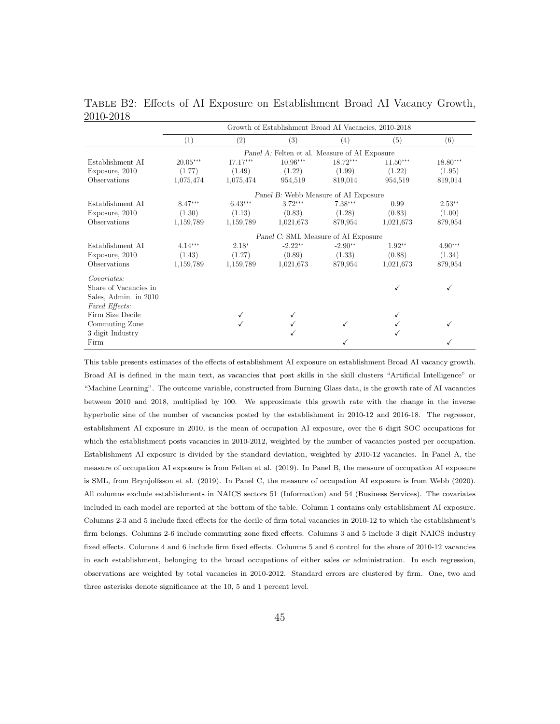|                       | Growth of Establishment Broad AI Vacancies, 2010-2018 |            |                                               |            |            |           |  |  |  |
|-----------------------|-------------------------------------------------------|------------|-----------------------------------------------|------------|------------|-----------|--|--|--|
|                       | (1)                                                   | (2)        | (3)                                           | (4)        | (5)        | (6)       |  |  |  |
|                       |                                                       |            | Panel A: Felten et al. Measure of AI Exposure |            |            |           |  |  |  |
| Establishment AI      | $20.05***$                                            | $17.17***$ | $10.96***$                                    | $18.72***$ | $11.50***$ | 18.80***  |  |  |  |
| Exposure, 2010        | (1.77)                                                | (1.49)     | (1.22)                                        | (1.99)     | (1.22)     | (1.95)    |  |  |  |
| Observations          | 1,075,474                                             | 1,075,474  | 954,519                                       | 819,014    | 954,519    | 819,014   |  |  |  |
|                       | Panel B: Webb Measure of AI Exposure                  |            |                                               |            |            |           |  |  |  |
| Establishment AI      | $8.47***$                                             | $6.43***$  | $3.72***$                                     | $7.38***$  | 0.99       | $2.53**$  |  |  |  |
| Exposure, 2010        | (1.30)                                                | (1.13)     | (0.83)                                        | (1.28)     | (0.83)     | (1.00)    |  |  |  |
| Observations          | 1,159,789                                             | 1,159,789  | 1,021,673                                     | 879.954    | 1,021,673  | 879,954   |  |  |  |
|                       |                                                       |            | Panel C: SML Measure of AI Exposure           |            |            |           |  |  |  |
| Establishment AI      | $4.14***$                                             | $2.18*$    | $-2.22**$                                     | $-2.90**$  | $1.92**$   | $4.90***$ |  |  |  |
| Exposure, 2010        | (1.43)                                                | (1.27)     | (0.89)                                        | (1.33)     | (0.88)     | (1.34)    |  |  |  |
| Observations          | 1,159,789                                             | 1,159,789  | 1,021,673                                     | 879.954    | 1,021,673  | 879,954   |  |  |  |
| Covariates:           |                                                       |            |                                               |            |            |           |  |  |  |
| Share of Vacancies in |                                                       |            |                                               |            |            |           |  |  |  |
| Sales, Admin. in 2010 |                                                       |            |                                               |            |            |           |  |  |  |
| Fixed Effects:        |                                                       |            |                                               |            |            |           |  |  |  |
| Firm Size Decile      |                                                       |            |                                               |            |            |           |  |  |  |
| Commuting Zone        |                                                       |            |                                               |            |            |           |  |  |  |
| 3 digit Industry      |                                                       |            |                                               |            |            |           |  |  |  |
| Firm                  |                                                       |            |                                               |            |            |           |  |  |  |

Table B2: Effects of AI Exposure on Establishment Broad AI Vacancy Growth, 2010-2018

This table presents estimates of the effects of establishment AI exposure on establishment Broad AI vacancy growth. Broad AI is defined in the main text, as vacancies that post skills in the skill clusters "Artificial Intelligence" or "Machine Learning". The outcome variable, constructed from Burning Glass data, is the growth rate of AI vacancies between 2010 and 2018, multiplied by 100. We approximate this growth rate with the change in the inverse hyperbolic sine of the number of vacancies posted by the establishment in 2010-12 and 2016-18. The regressor, establishment AI exposure in 2010, is the mean of occupation AI exposure, over the 6 digit SOC occupations for which the establishment posts vacancies in 2010-2012, weighted by the number of vacancies posted per occupation. Establishment AI exposure is divided by the standard deviation, weighted by 2010-12 vacancies. In Panel A, the measure of occupation AI exposure is from Felten et al. (2019). In Panel B, the measure of occupation AI exposure is SML, from Brynjolfsson et al. (2019). In Panel C, the measure of occupation AI exposure is from Webb (2020). All columns exclude establishments in NAICS sectors 51 (Information) and 54 (Business Services). The covariates included in each model are reported at the bottom of the table. Column 1 contains only establishment AI exposure. Columns 2-3 and 5 include fixed effects for the decile of firm total vacancies in 2010-12 to which the establishment's firm belongs. Columns 2-6 include commuting zone fixed effects. Columns 3 and 5 include 3 digit NAICS industry fixed effects. Columns 4 and 6 include firm fixed effects. Columns 5 and 6 control for the share of 2010-12 vacancies in each establishment, belonging to the broad occupations of either sales or administration. In each regression, observations are weighted by total vacancies in 2010-2012. Standard errors are clustered by firm. One, two and three asterisks denote significance at the 10, 5 and 1 percent level.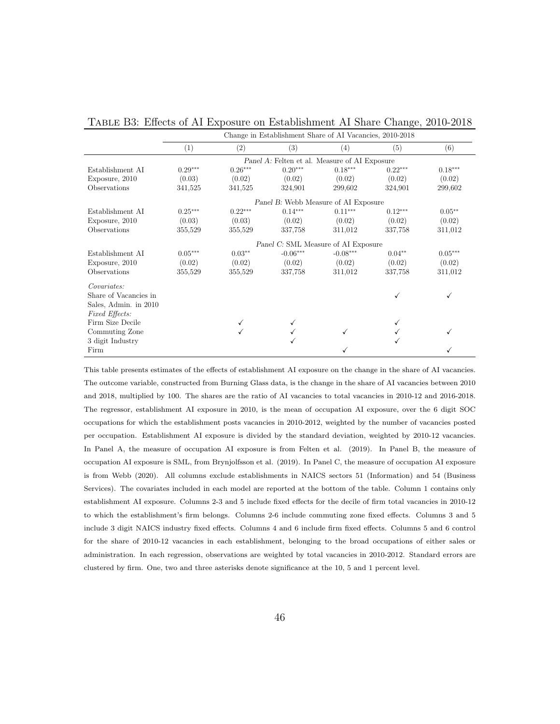|                       | Change in Establishment Share of AI Vacancies, 2010-2018 |                                      |            |                                               |           |           |  |  |  |  |
|-----------------------|----------------------------------------------------------|--------------------------------------|------------|-----------------------------------------------|-----------|-----------|--|--|--|--|
|                       | (1)                                                      | $\left( 2\right)$                    | (3)        | (4)                                           | (5)       | (6)       |  |  |  |  |
|                       |                                                          |                                      |            | Panel A: Felten et al. Measure of AI Exposure |           |           |  |  |  |  |
| Establishment AI      | $0.29***$                                                | $0.26***$                            | $0.20***$  | $0.18***$                                     | $0.22***$ | $0.18***$ |  |  |  |  |
| Exposure, 2010        | (0.03)                                                   | (0.02)                               | (0.02)     | (0.02)                                        | (0.02)    | (0.02)    |  |  |  |  |
| Observations          | 341,525                                                  | 341,525                              | 324,901    | 299.602                                       | 324,901   | 299,602   |  |  |  |  |
|                       |                                                          | Panel B: Webb Measure of AI Exposure |            |                                               |           |           |  |  |  |  |
| Establishment AI      | $0.25***$                                                | $0.22***$                            | $0.14***$  | $0.11***$                                     | $0.12***$ | $0.05**$  |  |  |  |  |
| Exposure, 2010        | (0.03)                                                   | (0.03)                               | (0.02)     | (0.02)                                        | (0.02)    | (0.02)    |  |  |  |  |
| Observations          | 355,529                                                  | 355,529                              | 337,758    | 311,012                                       | 337,758   | 311,012   |  |  |  |  |
|                       |                                                          |                                      |            | Panel C: SML Measure of AI Exposure           |           |           |  |  |  |  |
| Establishment AI      | $0.05***$                                                | $0.03**$                             | $-0.06***$ | $-0.08***$                                    | $0.04**$  | $0.05***$ |  |  |  |  |
| Exposure, 2010        | (0.02)                                                   | (0.02)                               | (0.02)     | (0.02)                                        | (0.02)    | (0.02)    |  |  |  |  |
| Observations          | 355,529                                                  | 355,529                              | 337,758    | 311,012                                       | 337,758   | 311,012   |  |  |  |  |
| Covariates:           |                                                          |                                      |            |                                               |           |           |  |  |  |  |
| Share of Vacancies in |                                                          |                                      |            |                                               |           |           |  |  |  |  |
| Sales, Admin. in 2010 |                                                          |                                      |            |                                               |           |           |  |  |  |  |
| Fixed Effects:        |                                                          |                                      |            |                                               |           |           |  |  |  |  |
| Firm Size Decile      |                                                          |                                      |            |                                               |           |           |  |  |  |  |
| Commuting Zone        |                                                          |                                      |            |                                               |           |           |  |  |  |  |
| 3 digit Industry      |                                                          |                                      |            |                                               |           |           |  |  |  |  |
| Firm                  |                                                          |                                      |            |                                               |           |           |  |  |  |  |

Table B3: Effects of AI Exposure on Establishment AI Share Change, 2010-2018

This table presents estimates of the effects of establishment AI exposure on the change in the share of AI vacancies. The outcome variable, constructed from Burning Glass data, is the change in the share of AI vacancies between 2010 and 2018, multiplied by 100. The shares are the ratio of AI vacancies to total vacancies in 2010-12 and 2016-2018. The regressor, establishment AI exposure in 2010, is the mean of occupation AI exposure, over the 6 digit SOC occupations for which the establishment posts vacancies in 2010-2012, weighted by the number of vacancies posted per occupation. Establishment AI exposure is divided by the standard deviation, weighted by 2010-12 vacancies. In Panel A, the measure of occupation AI exposure is from Felten et al. (2019). In Panel B, the measure of occupation AI exposure is SML, from Brynjolfsson et al. (2019). In Panel C, the measure of occupation AI exposure is from Webb (2020). All columns exclude establishments in NAICS sectors 51 (Information) and 54 (Business Services). The covariates included in each model are reported at the bottom of the table. Column 1 contains only establishment AI exposure. Columns 2-3 and 5 include fixed effects for the decile of firm total vacancies in 2010-12 to which the establishment's firm belongs. Columns 2-6 include commuting zone fixed effects. Columns 3 and 5 include 3 digit NAICS industry fixed effects. Columns 4 and 6 include firm fixed effects. Columns 5 and 6 control for the share of 2010-12 vacancies in each establishment, belonging to the broad occupations of either sales or administration. In each regression, observations are weighted by total vacancies in 2010-2012. Standard errors are clustered by firm. One, two and three asterisks denote significance at the 10, 5 and 1 percent level.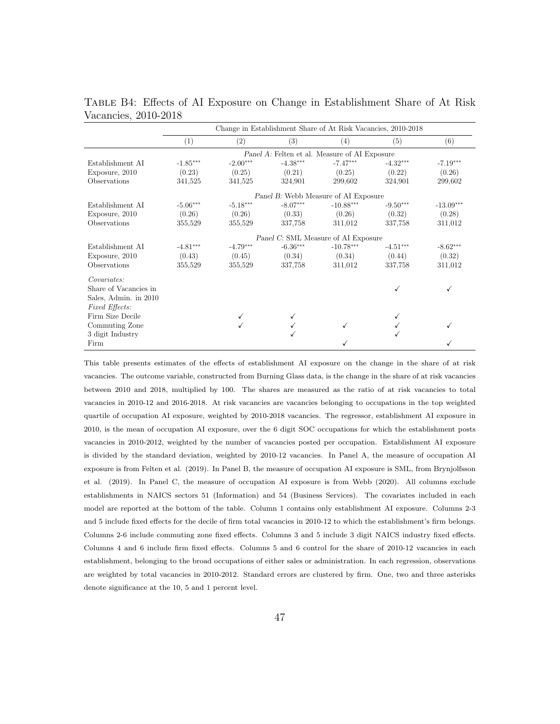|                       | Change in Establishment Share of At Risk Vacancies, 2010-2018 |                      |            |                                               |            |             |  |  |  |
|-----------------------|---------------------------------------------------------------|----------------------|------------|-----------------------------------------------|------------|-------------|--|--|--|
|                       | (1)                                                           | (2)                  | (3)        | $\left( 4\right)$                             | (5)        | (6)         |  |  |  |
|                       |                                                               |                      |            | Panel A: Felten et al. Measure of AI Exposure |            |             |  |  |  |
| Establishment AI      | $-1.85***$                                                    | $-2.00***$           | $-4.38***$ | $-7.47***$                                    | $-4.32***$ | $-7.19***$  |  |  |  |
| Exposure, 2010        | (0.23)                                                        | (0.25)               | (0.21)     | (0.25)                                        | (0.22)     | (0.26)      |  |  |  |
| Observations          | 341,525                                                       | 341,525              | 324,901    | 299,602                                       | 324,901    | 299,602     |  |  |  |
|                       | Panel B: Webb Measure of AI Exposure                          |                      |            |                                               |            |             |  |  |  |
| Establishment AI      | $-5.06***$                                                    | $\text{-}5.18^{***}$ | $-8.07***$ | $-10.88***$                                   | $-9.50***$ | $-13.09***$ |  |  |  |
| Exposure, 2010        | (0.26)                                                        | (0.26)               | (0.33)     | (0.26)                                        | (0.32)     | (0.28)      |  |  |  |
| Observations          | 355,529                                                       | 355,529              | 337,758    | 311,012                                       | 337,758    | 311,012     |  |  |  |
|                       |                                                               |                      |            | Panel C: SML Measure of AI Exposure           |            |             |  |  |  |
| Establishment AI      | $-4.81***$                                                    | $-4.79***$           | $-6.36***$ | $-10.78***$                                   | $-4.51***$ | $-8.62***$  |  |  |  |
| Exposure, 2010        | (0.43)                                                        | (0.45)               | (0.34)     | (0.34)                                        | (0.44)     | (0.32)      |  |  |  |
| Observations          | 355,529                                                       | 355,529              | 337,758    | 311,012                                       | 337,758    | 311,012     |  |  |  |
| Covariates:           |                                                               |                      |            |                                               |            |             |  |  |  |
| Share of Vacancies in |                                                               |                      |            |                                               |            |             |  |  |  |
| Sales, Admin. in 2010 |                                                               |                      |            |                                               |            |             |  |  |  |
| Fixed Effects:        |                                                               |                      |            |                                               |            |             |  |  |  |
| Firm Size Decile      |                                                               |                      |            |                                               |            |             |  |  |  |
| Commuting Zone        |                                                               |                      |            |                                               |            |             |  |  |  |
| 3 digit Industry      |                                                               |                      |            |                                               |            |             |  |  |  |
| Firm                  |                                                               |                      |            |                                               |            |             |  |  |  |

Table B4: Effects of AI Exposure on Change in Establishment Share of At Risk Vacancies, 2010-2018

This table presents estimates of the effects of establishment AI exposure on the change in the share of at risk vacancies. The outcome variable, constructed from Burning Glass data, is the change in the share of at risk vacancies between 2010 and 2018, multiplied by 100. The shares are measured as the ratio of at risk vacancies to total vacancies in 2010-12 and 2016-2018. At risk vacancies are vacancies belonging to occupations in the top weighted quartile of occupation AI exposure, weighted by 2010-2018 vacancies. The regressor, establishment AI exposure in 2010, is the mean of occupation AI exposure, over the 6 digit SOC occupations for which the establishment posts vacancies in 2010-2012, weighted by the number of vacancies posted per occupation. Establishment AI exposure is divided by the standard deviation, weighted by 2010-12 vacancies. In Panel A, the measure of occupation AI exposure is from Felten et al. (2019). In Panel B, the measure of occupation AI exposure is SML, from Brynjolfsson et al. (2019). In Panel C, the measure of occupation AI exposure is from Webb (2020). All columns exclude establishments in NAICS sectors 51 (Information) and 54 (Business Services). The covariates included in each model are reported at the bottom of the table. Column 1 contains only establishment AI exposure. Columns 2-3 and 5 include fixed effects for the decile of firm total vacancies in 2010-12 to which the establishment's firm belongs. Columns 2-6 include commuting zone fixed effects. Columns 3 and 5 include 3 digit NAICS industry fixed effects. Columns 4 and 6 include firm fixed effects. Columns 5 and 6 control for the share of 2010-12 vacancies in each establishment, belonging to the broad occupations of either sales or administration. In each regression, observations are weighted by total vacancies in 2010-2012. Standard errors are clustered by firm. One, two and three asterisks denote significance at the 10, 5 and 1 percent level.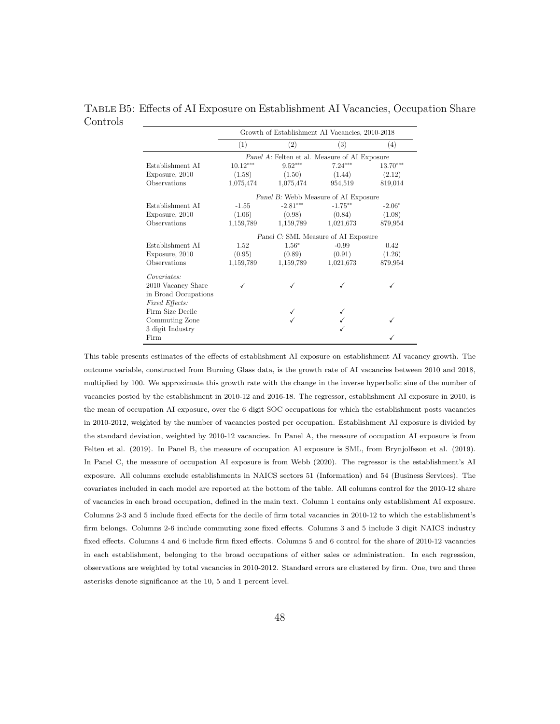#### Table B5: Effects of AI Exposure on Establishment AI Vacancies, Occupation Share Controls

<span id="page-48-0"></span>

|                       | Growth of Establishment AI Vacancies, 2010-2018 |            |                                               |            |  |  |  |
|-----------------------|-------------------------------------------------|------------|-----------------------------------------------|------------|--|--|--|
|                       | (1)                                             | (2)        | (3)                                           | (4)        |  |  |  |
|                       |                                                 |            | Panel A: Felten et al. Measure of AI Exposure |            |  |  |  |
| Establishment AI      | $10.12***$                                      | $9.52***$  | $7.24***$                                     | $13.70***$ |  |  |  |
| Exposure, 2010        | (1.58)                                          | (1.50)     | (1.44)                                        | (2.12)     |  |  |  |
| Observations          | 1,075,474<br>1,075,474<br>954,519               |            |                                               | 819,014    |  |  |  |
|                       |                                                 |            | Panel B: Webb Measure of AI Exposure          |            |  |  |  |
| Establishment AI      | $-1.55$                                         | $-2.81***$ | $-1.75***$                                    | $-2.06*$   |  |  |  |
| Exposure, 2010        | (1.06)                                          | (0.98)     | (0.84)                                        | (1.08)     |  |  |  |
| Observations          | 1,159,789                                       | 1,159,789  | 1,021,673                                     | 879,954    |  |  |  |
|                       |                                                 |            | Panel C: SML Measure of AI Exposure           |            |  |  |  |
| Establishment AI      | 1.52                                            | $1.56*$    | $-0.99$                                       | 0.42       |  |  |  |
| Exposure, 2010        | (0.95)                                          | (0.89)     | (0.91)                                        | (1.26)     |  |  |  |
| Observations          | 1,159,789                                       | 1,159,789  | 1,021,673                                     | 879,954    |  |  |  |
| Covariates:           |                                                 |            |                                               |            |  |  |  |
| 2010 Vacancy Share    |                                                 |            |                                               |            |  |  |  |
| in Broad Occupations  |                                                 |            |                                               |            |  |  |  |
| <b>Fixed Effects:</b> |                                                 |            |                                               |            |  |  |  |
| Firm Size Decile      |                                                 |            |                                               |            |  |  |  |
| Commuting Zone        |                                                 |            |                                               |            |  |  |  |
| 3 digit Industry      |                                                 |            |                                               |            |  |  |  |
| Firm                  |                                                 |            |                                               |            |  |  |  |

This table presents estimates of the effects of establishment AI exposure on establishment AI vacancy growth. The outcome variable, constructed from Burning Glass data, is the growth rate of AI vacancies between 2010 and 2018, multiplied by 100. We approximate this growth rate with the change in the inverse hyperbolic sine of the number of vacancies posted by the establishment in 2010-12 and 2016-18. The regressor, establishment AI exposure in 2010, is the mean of occupation AI exposure, over the 6 digit SOC occupations for which the establishment posts vacancies in 2010-2012, weighted by the number of vacancies posted per occupation. Establishment AI exposure is divided by the standard deviation, weighted by 2010-12 vacancies. In Panel A, the measure of occupation AI exposure is from Felten et al. (2019). In Panel B, the measure of occupation AI exposure is SML, from Brynjolfsson et al. (2019). In Panel C, the measure of occupation AI exposure is from Webb (2020). The regressor is the establishment's AI exposure. All columns exclude establishments in NAICS sectors 51 (Information) and 54 (Business Services). The covariates included in each model are reported at the bottom of the table. All columns control for the 2010-12 share of vacancies in each broad occupation, defined in the main text. Column 1 contains only establishment AI exposure. Columns 2-3 and 5 include fixed effects for the decile of firm total vacancies in 2010-12 to which the establishment's firm belongs. Columns 2-6 include commuting zone fixed effects. Columns 3 and 5 include 3 digit NAICS industry fixed effects. Columns 4 and 6 include firm fixed effects. Columns 5 and 6 control for the share of 2010-12 vacancies in each establishment, belonging to the broad occupations of either sales or administration. In each regression, observations are weighted by total vacancies in 2010-2012. Standard errors are clustered by firm. One, two and three asterisks denote significance at the 10, 5 and 1 percent level.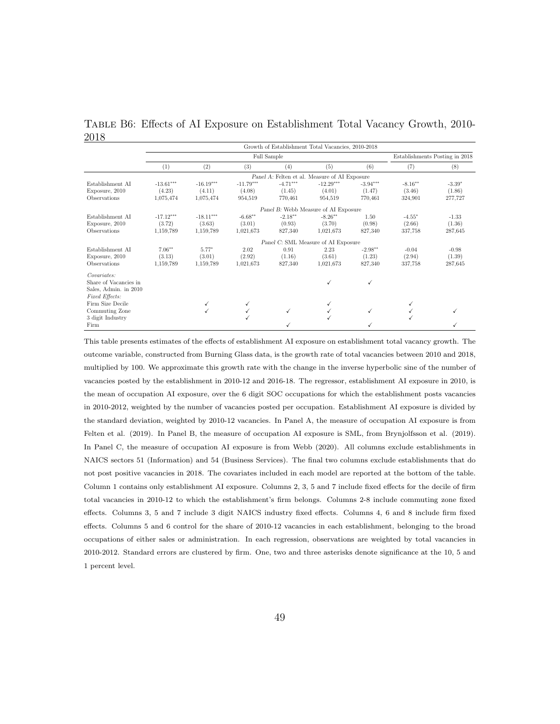<span id="page-49-0"></span>

|      |  | TABLE B6: Effects of AI Exposure on Establishment Total Vacancy Growth, 2010- |  |  |
|------|--|-------------------------------------------------------------------------------|--|--|
| 2018 |  |                                                                               |  |  |

|                                                               | Growth of Establishment Total Vacancies, 2010-2018 |             |             |            |                                               |            |                                |          |  |  |
|---------------------------------------------------------------|----------------------------------------------------|-------------|-------------|------------|-----------------------------------------------|------------|--------------------------------|----------|--|--|
|                                                               |                                                    |             | Full Sample |            |                                               |            | Establishments Posting in 2018 |          |  |  |
|                                                               | (1)                                                | (2)         | (3)         | (4)        | (5)                                           | (6)        | (7)                            | (8)      |  |  |
|                                                               |                                                    |             |             |            | Panel A: Felten et al. Measure of AI Exposure |            |                                |          |  |  |
| Establishment AI                                              | $-13.61***$                                        | $-16.19***$ | $-11.79***$ | $-4.71***$ | $-12.29***$                                   | $-3.94***$ | $-8.16**$                      | $-3.39*$ |  |  |
| Exposure, 2010                                                | (4.23)                                             | (4.11)      | (4.08)      | (1.45)     | (4.01)                                        | (1.47)     | (3.46)                         | (1.86)   |  |  |
| Observations                                                  | 1,075,474                                          | 1,075,474   | 954,519     | 770,461    | 954,519                                       | 770,461    | 324,901                        | 277,727  |  |  |
|                                                               | Panel B: Webb Measure of AI Exposure               |             |             |            |                                               |            |                                |          |  |  |
| Establishment AI                                              | $-17.12***$                                        | $-18.11***$ | $-6.68**$   | $-2.18**$  | $-8.26**$                                     | 1.50       | $-4.55*$                       | $-1.33$  |  |  |
| Exposure, 2010                                                | (3.72)                                             | (3.63)      | (3.01)      | (0.93)     | (3.70)                                        | (0.98)     | (2.66)                         | (1.36)   |  |  |
| Observations                                                  | 1,159,789                                          | 1,159,789   | 1,021,673   | 827,340    | 1,021,673                                     | 827,340    | 337,758                        | 287.645  |  |  |
|                                                               |                                                    |             |             |            | Panel C: SML Measure of AI Exposure           |            |                                |          |  |  |
| Establishment AI                                              | $7.06***$                                          | $5.77*$     | 2.02        | 0.91       | 2.23                                          | $-2.98***$ | $-0.04$                        | $-0.98$  |  |  |
| Exposure, 2010                                                | (3.13)                                             | (3.01)      | (2.92)      | (1.16)     | (3.61)                                        | (1.23)     | (2.94)                         | (1.39)   |  |  |
| Observations                                                  | 1,159,789                                          | 1,159,789   | 1,021,673   | 827,340    | 1,021,673                                     | 827,340    | 337,758                        | 287,645  |  |  |
| Covariates:<br>Share of Vacancies in<br>Sales, Admin. in 2010 |                                                    |             |             |            | ✓                                             | ✓          |                                |          |  |  |
| Fixed Effects:                                                |                                                    |             |             |            |                                               |            |                                |          |  |  |
| Firm Size Decile                                              |                                                    |             |             |            | ✓                                             |            | √                              |          |  |  |
| Commuting Zone                                                |                                                    |             |             | ✓          |                                               | ✓          |                                |          |  |  |
| 3 digit Industry                                              |                                                    |             |             |            |                                               |            | ✓                              |          |  |  |
| Firm                                                          |                                                    |             |             |            |                                               |            |                                |          |  |  |

This table presents estimates of the effects of establishment AI exposure on establishment total vacancy growth. The outcome variable, constructed from Burning Glass data, is the growth rate of total vacancies between 2010 and 2018, multiplied by 100. We approximate this growth rate with the change in the inverse hyperbolic sine of the number of vacancies posted by the establishment in 2010-12 and 2016-18. The regressor, establishment AI exposure in 2010, is the mean of occupation AI exposure, over the 6 digit SOC occupations for which the establishment posts vacancies in 2010-2012, weighted by the number of vacancies posted per occupation. Establishment AI exposure is divided by the standard deviation, weighted by 2010-12 vacancies. In Panel A, the measure of occupation AI exposure is from Felten et al. (2019). In Panel B, the measure of occupation AI exposure is SML, from Brynjolfsson et al. (2019). In Panel C, the measure of occupation AI exposure is from Webb (2020). All columns exclude establishments in NAICS sectors 51 (Information) and 54 (Business Services). The final two columns exclude establishments that do not post positive vacancies in 2018. The covariates included in each model are reported at the bottom of the table. Column 1 contains only establishment AI exposure. Columns 2, 3, 5 and 7 include fixed effects for the decile of firm total vacancies in 2010-12 to which the establishment's firm belongs. Columns 2-8 include commuting zone fixed effects. Columns 3, 5 and 7 include 3 digit NAICS industry fixed effects. Columns 4, 6 and 8 include firm fixed effects. Columns 5 and 6 control for the share of 2010-12 vacancies in each establishment, belonging to the broad occupations of either sales or administration. In each regression, observations are weighted by total vacancies in 2010-2012. Standard errors are clustered by firm. One, two and three asterisks denote significance at the 10, 5 and 1 percent level.